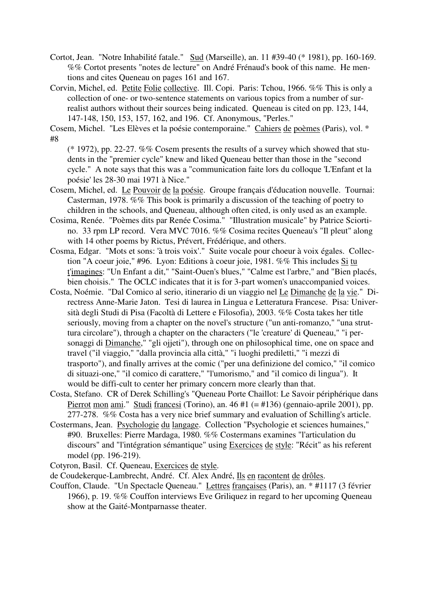- Cortot, Jean. "Notre Inhabilité fatale." Sud (Marseille), an. 11 #39-40 (\* 1981), pp. 160-169. %% Cortot presents "notes de lecture" on André Frénaud's book of this name. He mentions and cites Queneau on pages 161 and 167.
- Corvin, Michel, ed. Petite Folie collective. Ill. Copi. Paris: Tchou, 1966. %% This is only a collection of one- or two-sentence statements on various topics from a number of surrealist authors without their sources being indicated. Queneau is cited on pp. 123, 144, 147-148, 150, 153, 157, 162, and 196. Cf. Anonymous, "Perles."

Cosem, Michel. "Les Elèves et la poésie contemporaine." Cahiers de poèmes (Paris), vol. \* #8

- $(* 1972)$ , pp. 22-27. %% Cosem presents the results of a survey which showed that students in the "premier cycle" knew and liked Queneau better than those in the "second cycle." A note says that this was a "communication faite lors du colloque 'L'Enfant et la poésie' les 28-30 mai 1971 à Nice."
- Cosem, Michel, ed. Le Pouvoir de la poésie. Groupe français d'éducation nouvelle. Tournai: Casterman, 1978. %% This book is primarily a discussion of the teaching of poetry to children in the schools, and Queneau, although often cited, is only used as an example.
- Cosima, Renée. "Poèmes dits par Renée Cosima." "Illustration musicale" by Patrice Sciortino. 33 rpm LP record. Vera MVC 7016. %% Cosima recites Queneau's "Il pleut" along with 14 other poems by Rictus, Prévert, Frédérique, and others.
- Cosma, Edgar. "Mots et sons: 'à trois voix'." Suite vocale pour choeur à voix égales. Collection "A coeur joie," #96. Lyon: Editions à coeur joie, 1981. %% This includes Si tu t'imagines: "Un Enfant a dit," "Saint-Ouen's blues," "Calme est l'arbre," and "Bien placés, bien choisis." The OCLC indicates that it is for 3-part women's unaccompanied voices.
- Costa, Noémie. "Dal Comico al serio, itinerario di un viaggio nel Le Dimanche de la vie." Directress Anne-Marie Jaton. Tesi di laurea in Lingua e Letteratura Francese. Pisa: Università degli Studi di Pisa (Facoltà di Lettere e Filosofia), 2003. %% Costa takes her title seriously, moving from a chapter on the novel's structure ("un anti-romanzo," "una struttura circolare"), through a chapter on the characters ("le 'creature' di Queneau," "i personaggi di Dimanche," "gli ojjeti"), through one on philosophical time, one on space and travel ("il viaggio," "dalla provincia alla città," "i luoghi prediletti," "i mezzi di trasporto"), and finally arrives at the comic ("per una definizione del comico," "il comico di situazi-one," "il comico di carattere," "l'umorismo," and "il comico di lingua"). It would be diffi-cult to center her primary concern more clearly than that.
- Costa, Stefano. CR of Derek Schilling's "Queneau Porte Chaillot: Le Savoir périphérique dans Pierrot mon ami." Studi francesi (Torino), an. 46 #1 (= #136) (gennaio-aprile 2001), pp. 277-278. %% Costa has a very nice brief summary and evaluation of Schilling's article.
- Costermans, Jean. Psychologie du langage. Collection "Psychologie et sciences humaines," #90. Bruxelles: Pierre Mardaga, 1980. %% Costermans examines "l'articulation du discours" and "l'intégration sémantique" using Exercices de style: "Récit" as his referent model (pp. 196-219).

Cotyron, Basil. Cf. Queneau, Exercices de style.

- de Coudekerque-Lambrecht, André. Cf. Alex André, Ils en racontent de drôles.
- Couffon, Claude. "Un Spectacle Queneau." Lettres françaises (Paris), an. \* #1117 (3 février 1966), p. 19. %% Couffon interviews Eve Griliquez in regard to her upcoming Queneau show at the Gaité-Montparnasse theater.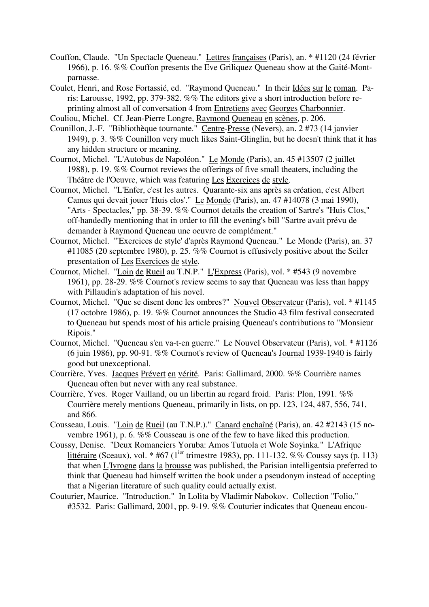- Couffon, Claude. "Un Spectacle Queneau." Lettres françaises (Paris), an. \* #1120 (24 février 1966), p. 16. %% Couffon presents the Eve Griliquez Queneau show at the Gaité-Montparnasse.
- Coulet, Henri, and Rose Fortassié, ed. "Raymond Queneau." In their Idées sur le roman. Paris: Larousse, 1992, pp. 379-382. %% The editors give a short introduction before reprinting almost all of conversation 4 from Entretiens avec Georges Charbonnier.
- Couliou, Michel. Cf. Jean-Pierre Longre, Raymond Queneau en scènes, p. 206.
- Counillon, J.-F. "Bibliothèque tournante." Centre-Presse (Nevers), an. 2 #73 (14 janvier 1949), p. 3. %% Counillon very much likes Saint-Glinglin, but he doesn't think that it has any hidden structure or meaning.
- Cournot, Michel. "L'Autobus de Napoléon." Le Monde (Paris), an. 45 #13507 (2 juillet 1988), p. 19. %% Cournot reviews the offerings of five small theaters, including the Théâtre de l'Oeuvre, which was featuring Les Exercices de style.
- Cournot, Michel. "L'Enfer, c'est les autres. Quarante-six ans après sa création, c'est Albert Camus qui devait jouer 'Huis clos'." Le Monde (Paris), an. 47 #14078 (3 mai 1990), "Arts - Spectacles," pp. 38-39. %% Cournot details the creation of Sartre's "Huis Clos," off-handedly mentioning that in order to fill the evening's bill "Sartre avait prévu de demander à Raymond Queneau une oeuvre de complément."
- Cournot, Michel. "'Exercices de style' d'après Raymond Queneau." Le Monde (Paris), an. 37 #11085 (20 septembre 1980), p. 25. %% Cournot is effusively positive about the Seiler presentation of Les Exercices de style.
- Cournot, Michel. "Loin de Rueil au T.N.P." L'Express (Paris), vol. \* #543 (9 novembre 1961), pp. 28-29. %% Cournot's review seems to say that Queneau was less than happy with Pillaudin's adaptation of his novel.
- Cournot, Michel. "Que se disent donc les ombres?" Nouvel Observateur (Paris), vol. \* #1145 (17 octobre 1986), p. 19. %% Cournot announces the Studio 43 film festival consecrated to Queneau but spends most of his article praising Queneau's contributions to "Monsieur Ripois."
- Cournot, Michel. "Queneau s'en va-t-en guerre." Le Nouvel Observateur (Paris), vol. \* #1126 (6 juin 1986), pp. 90-91. %% Cournot's review of Queneau's Journal 1939-1940 is fairly good but unexceptional.
- Courrière, Yves. Jacques Prévert en vérité. Paris: Gallimard, 2000. %% Courrière names Queneau often but never with any real substance.
- Courrière, Yves. Roger Vailland, ou un libertin au regard froid. Paris: Plon, 1991. %% Courrière merely mentions Queneau, primarily in lists, on pp. 123, 124, 487, 556, 741, and 866.
- Cousseau, Louis. "Loin de Rueil (au T.N.P.)." Canard enchaîné (Paris), an. 42 #2143 (15 novembre 1961), p. 6. %% Cousseau is one of the few to have liked this production.
- Coussy, Denise. "Deux Romanciers Yoruba: Amos Tutuola et Wole Soyinka." L'Afrique littéraire (Sceaux), vol. \* #67 (1<sup>ier</sup> trimestre 1983), pp. 111-132. %% Coussy says (p. 113) that when L'Ivrogne dans la brousse was published, the Parisian intelligentsia preferred to think that Queneau had himself written the book under a pseudonym instead of accepting that a Nigerian literature of such quality could actually exist.
- Couturier, Maurice. "Introduction." In Lolita by Vladimir Nabokov. Collection "Folio," #3532. Paris: Gallimard, 2001, pp. 9-19. %% Couturier indicates that Queneau encou-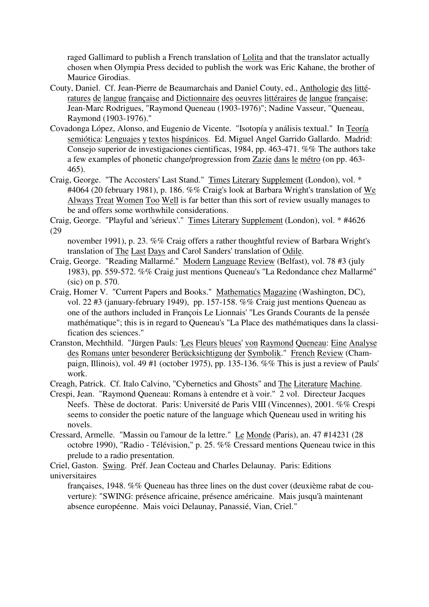raged Gallimard to publish a French translation of Lolita and that the translator actually chosen when Olympia Press decided to publish the work was Eric Kahane, the brother of Maurice Girodias.

- Couty, Daniel. Cf. Jean-Pierre de Beaumarchais and Daniel Couty, ed., Anthologie des littératures de langue française and Dictionnaire des oeuvres littéraires de langue française; Jean-Marc Rodrigues, "Raymond Queneau (1903-1976)"; Nadine Vasseur, "Queneau, Raymond (1903-1976)."
- Covadonga López, Alonso, and Eugenio de Vicente. "Isotopía y análisis textual." In Teoría semiótica: Lenguajes y textos hispánicos. Ed. Miguel Angel Garrido Gallardo. Madrid: Consejo superior de investigaciones cientificas, 1984, pp. 463-471. %% The authors take a few examples of phonetic change/progression from Zazie dans le métro (on pp. 463- 465).
- Craig, George. "The Accosters' Last Stand." Times Literary Supplement (London), vol. \* #4064 (20 february 1981), p. 186. %% Craig's look at Barbara Wright's translation of We Always Treat Women Too Well is far better than this sort of review usually manages to be and offers some worthwhile considerations.

Craig, George. "Playful and 'sérieux'." Times Literary Supplement (London), vol. \* #4626 (29

november 1991), p. 23. %% Craig offers a rather thoughtful review of Barbara Wright's translation of The Last Days and Carol Sanders' translation of Odile.

- Craig, George. "Reading Mallarmé." Modern Language Review (Belfast), vol. 78 #3 (july 1983), pp. 559-572. %% Craig just mentions Queneau's "La Redondance chez Mallarmé" (sic) on p. 570.
- Craig, Homer V. "Current Papers and Books." Mathematics Magazine (Washington, DC), vol. 22 #3 (january-february 1949), pp. 157-158. %% Craig just mentions Queneau as one of the authors included in François Le Lionnais' "Les Grands Courants de la pensée mathématique"; this is in regard to Queneau's "La Place des mathématiques dans la classification des sciences."
- Cranston, Mechthild. "Jürgen Pauls: 'Les Fleurs bleues' von Raymond Queneau: Eine Analyse des Romans unter besonderer Berücksichtigung der Symbolik." French Review (Champaign, Illinois), vol. 49 #1 (october 1975), pp. 135-136. %% This is just a review of Pauls' work.

Creagh, Patrick. Cf. Italo Calvino, "Cybernetics and Ghosts" and The Literature Machine.

- Crespi, Jean. "Raymond Queneau: Romans à entendre et à voir." 2 vol. Directeur Jacques Neefs. Thèse de doctorat. Paris: Université de Paris VIII (Vincennes), 2001. %% Crespi seems to consider the poetic nature of the language which Queneau used in writing his novels.
- Cressard, Armelle. "Massin ou l'amour de la lettre." Le Monde (Paris), an. 47 #14231 (28 octobre 1990), "Radio - Télévision," p. 25. %% Cressard mentions Queneau twice in this prelude to a radio presentation.

Criel, Gaston. Swing. Préf. Jean Cocteau and Charles Delaunay. Paris: Editions universitaires

françaises, 1948. %% Queneau has three lines on the dust cover (deuxième rabat de couverture): "SWING: présence africaine, présence américaine. Mais jusqu'à maintenant absence européenne. Mais voici Delaunay, Panassié, Vian, Criel."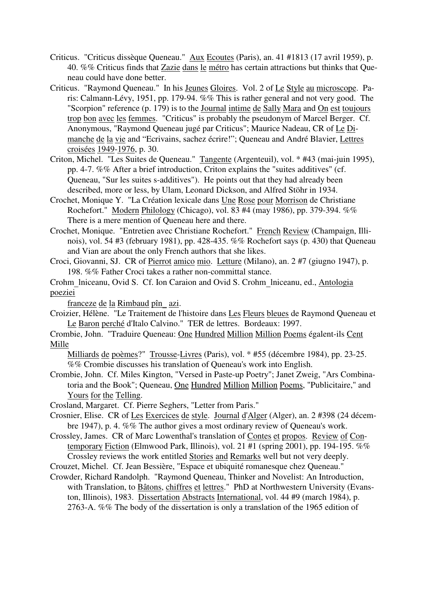- Criticus. "Criticus dissèque Queneau." Aux Ecoutes (Paris), an. 41 #1813 (17 avril 1959), p. 40. %% Criticus finds that Zazie dans le métro has certain attractions but thinks that Queneau could have done better.
- Criticus. "Raymond Queneau." In his Jeunes Gloires. Vol. 2 of Le Style au microscope. Paris: Calmann-Lévy, 1951, pp. 179-94. %% This is rather general and not very good. The "Scorpion" reference (p. 179) is to the Journal intime de Sally Mara and On est toujours trop bon avec les femmes. "Criticus" is probably the pseudonym of Marcel Berger. Cf. Anonymous, "Raymond Queneau jugé par Criticus"; Maurice Nadeau, CR of Le Dimanche de la vie and "Ecrivains, sachez écrire!"; Queneau and André Blavier, Lettres croisées 1949-1976, p. 30.
- Criton, Michel. "Les Suites de Queneau." Tangente (Argenteuil), vol. \* #43 (mai-juin 1995), pp. 4-7. %% After a brief introduction, Criton explains the "suites additives" (cf. Queneau, "Sur les suites s-additives"). He points out that they had already been described, more or less, by Ulam, Leonard Dickson, and Alfred Stöhr in 1934.
- Crochet, Monique Y. "La Création lexicale dans Une Rose pour Morrison de Christiane Rochefort." Modern Philology (Chicago), vol. 83 #4 (may 1986), pp. 379-394. %% There is a mere mention of Queneau here and there.
- Crochet, Monique. "Entretien avec Christiane Rochefort." French Review (Champaign, Illinois), vol. 54 #3 (february 1981), pp. 428-435. %% Rochefort says (p. 430) that Queneau and Vian are about the only French authors that she likes.
- Croci, Giovanni, SJ. CR of Pierrot amico mio. Letture (Milano), an. 2 #7 (giugno 1947), p. 198. %% Father Croci takes a rather non-committal stance.
- Crohm\_lniceanu, Ovid S. Cf. Ion Caraion and Ovid S. Crohm\_lniceanu, ed., Antologia poeziei

franceze de la Rimbaud pîn\_ azi.

- Croizier, Hélène. "Le Traitement de l'histoire dans Les Fleurs bleues de Raymond Queneau et Le Baron perché d'Italo Calvino." TER de lettres. Bordeaux: 1997.
- Crombie, John. "Traduire Queneau: One Hundred Million Million Poems égalent-ils Cent Mille

Milliards de poèmes?" Trousse-Livres (Paris), vol. \* #55 (décembre 1984), pp. 23-25. %% Crombie discusses his translation of Queneau's work into English.

Crombie, John. Cf. Miles Kington, "Versed in Paste-up Poetry"; Janet Zweig, "Ars Combinatoria and the Book"; Queneau, One Hundred Million Million Poems, "Publicitaire," and Yours for the Telling.

Crosland, Margaret. Cf. Pierre Seghers, "Letter from Paris."

- Crosnier, Elise. CR of Les Exercices de style. Journal d'Alger (Alger), an. 2 #398 (24 décembre 1947), p. 4. %% The author gives a most ordinary review of Queneau's work.
- Crossley, James. CR of Marc Lowenthal's translation of Contes et propos. Review of Contemporary Fiction (Elmwood Park, Illinois), vol. 21 #1 (spring 2001), pp. 194-195. %% Crossley reviews the work entitled Stories and Remarks well but not very deeply.
- Crouzet, Michel. Cf. Jean Bessière, "Espace et ubiquité romanesque chez Queneau."
- Crowder, Richard Randolph. "Raymond Queneau, Thinker and Novelist: An Introduction, with Translation, to Bâtons, chiffres et lettres." PhD at Northwestern University (Evanston, Illinois), 1983. Dissertation Abstracts International, vol. 44 #9 (march 1984), p. 2763-A. %% The body of the dissertation is only a translation of the 1965 edition of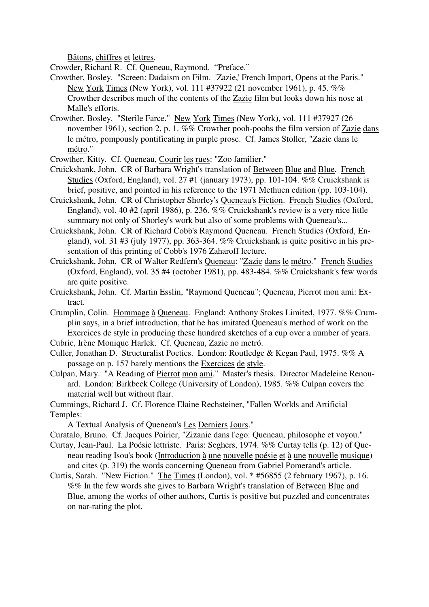Bâtons, chiffres et lettres.

Crowder, Richard R. Cf. Queneau, Raymond. "Preface."

- Crowther, Bosley. "Screen: Dadaism on Film. 'Zazie,' French Import, Opens at the Paris." New York Times (New York), vol. 111 #37922 (21 november 1961), p. 45. %% Crowther describes much of the contents of the Zazie film but looks down his nose at Malle's efforts.
- Crowther, Bosley. "Sterile Farce." New York Times (New York), vol. 111 #37927 (26 november 1961), section 2, p. 1. %% Crowther pooh-poohs the film version of Zazie dans le métro, pompously pontificating in purple prose. Cf. James Stoller, "Zazie dans le métro."
- Crowther, Kitty. Cf. Queneau, Courir les rues: "Zoo familier."
- Cruickshank, John. CR of Barbara Wright's translation of Between Blue and Blue. French Studies (Oxford, England), vol. 27 #1 (january 1973), pp. 101-104. %% Cruickshank is brief, positive, and pointed in his reference to the 1971 Methuen edition (pp. 103-104).
- Cruickshank, John. CR of Christopher Shorley's Queneau's Fiction. French Studies (Oxford, England), vol. 40 #2 (april 1986), p. 236. %% Cruickshank's review is a very nice little summary not only of Shorley's work but also of some problems with Queneau's...
- Cruickshank, John. CR of Richard Cobb's Raymond Queneau. French Studies (Oxford, England), vol. 31 #3 (july 1977), pp. 363-364. %% Cruickshank is quite positive in his presentation of this printing of Cobb's 1976 Zaharoff lecture.
- Cruickshank, John. CR of Walter Redfern's Queneau: "Zazie dans le métro." French Studies (Oxford, England), vol. 35 #4 (october 1981), pp. 483-484. %% Cruickshank's few words are quite positive.
- Cruickshank, John. Cf. Martin Esslin, "Raymond Queneau"; Queneau, Pierrot mon ami: Extract.
- Crumplin, Colin. Hommage à Queneau. England: Anthony Stokes Limited, 1977. %% Crumplin says, in a brief introduction, that he has imitated Queneau's method of work on the Exercices de style in producing these hundred sketches of a cup over a number of years.
- Cubric, Irène Monique Harlek. Cf. Queneau, Zazie no metró.
- Culler, Jonathan D. Structuralist Poetics. London: Routledge & Kegan Paul, 1975. %% A passage on p. 157 barely mentions the Exercices de style.
- Culpan, Mary. "A Reading of Pierrot mon ami." Master's thesis. Director Madeleine Renouard. London: Birkbeck College (University of London), 1985. %% Culpan covers the material well but without flair.
- Cummings, Richard J. Cf. Florence Elaine Rechsteiner, "Fallen Worlds and Artificial Temples:

A Textual Analysis of Queneau's Les Derniers Jours."

Curatalo, Bruno. Cf. Jacques Poirier, "Zizanie dans l'ego: Queneau, philosophe et voyou."

- Curtay, Jean-Paul. La Poésie lettriste. Paris: Seghers, 1974. %% Curtay tells (p. 12) of Queneau reading Isou's book (Introduction à une nouvelle poésie et à une nouvelle musique) and cites (p. 319) the words concerning Queneau from Gabriel Pomerand's article.
- Curtis, Sarah. "New Fiction." The Times (London), vol. \* #56855 (2 february 1967), p. 16. %% In the few words she gives to Barbara Wright's translation of Between Blue and Blue, among the works of other authors, Curtis is positive but puzzled and concentrates on nar-rating the plot.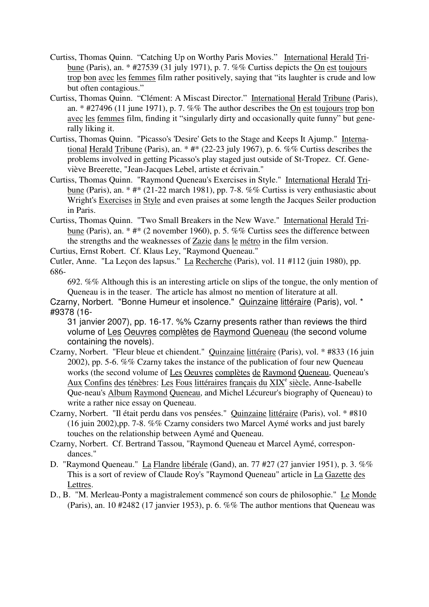- Curtiss, Thomas Quinn. "Catching Up on Worthy Paris Movies." International Herald Tribune (Paris), an. \* #27539 (31 july 1971), p. 7. %% Curtiss depicts the On est toujours trop bon avec les femmes film rather positively, saying that "its laughter is crude and low but often contagious."
- Curtiss, Thomas Quinn. "Clément: A Miscast Director." International Herald Tribune (Paris), an.  $*$  #27496 (11 june 1971), p. 7. %% The author describes the <u>On est toujours trop bon</u> avec les femmes film, finding it "singularly dirty and occasionally quite funny" but generally liking it.
- Curtiss, Thomas Quinn. "Picasso's 'Desire' Gets to the Stage and Keeps It Ajump." International Herald Tribune (Paris), an. \* #\* (22-23 july 1967), p. 6. %% Curtiss describes the problems involved in getting Picasso's play staged just outside of St-Tropez. Cf. Geneviève Breerette, "Jean-Jacques Lebel, artiste et écrivain."
- Curtiss, Thomas Quinn. "Raymond Queneau's Exercises in Style." International Herald Tribune (Paris), an. \* #\* (21-22 march 1981), pp. 7-8. %% Curtiss is very enthusiastic about Wright's Exercises in Style and even praises at some length the Jacques Seiler production in Paris.
- Curtiss, Thomas Quinn. "Two Small Breakers in the New Wave." International Herald Tribune (Paris), an. \* #\* (2 november 1960), p. 5. %% Curtiss sees the difference between the strengths and the weaknesses of Zazie dans le métro in the film version.

Curtius, Ernst Robert. Cf. Klaus Ley, "Raymond Queneau."

Cutler, Anne. "La Leçon des lapsus." La Recherche (Paris), vol. 11 #112 (juin 1980), pp. 686-

692. %% Although this is an interesting article on slips of the tongue, the only mention of Queneau is in the teaser. The article has almost no mention of literature at all.

Czarny, Norbert. "Bonne Humeur et insolence." Quinzaine littéraire (Paris), vol. \* #9378 (16-

31 janvier 2007), pp. 16-17. %% Czarny presents rather than reviews the third volume of Les Oeuvres complètes de Raymond Queneau (the second volume containing the novels).

- Czarny, Norbert. "Fleur bleue et chiendent." Quinzaine littéraire (Paris), vol. \* #833 (16 juin 2002), pp. 5-6. %% Czarny takes the instance of the publication of four new Queneau works (the second volume of Les Oeuvres complètes de Raymond Queneau, Queneau's Aux Confins des ténèbres: Les Fous littéraires français du XIX<sup>e</sup> siècle, Anne-Isabelle Que-neau's Album Raymond Queneau, and Michel Lécureur's biography of Queneau) to write a rather nice essay on Queneau.
- Czarny, Norbert. "Il était perdu dans vos pensées." Quinzaine littéraire (Paris), vol. \* #810 (16 juin 2002),pp. 7-8. %% Czarny considers two Marcel Aymé works and just barely touches on the relationship between Aymé and Queneau.
- Czarny, Norbert. Cf. Bertrand Tassou, "Raymond Queneau et Marcel Aymé, correspondances."
- D. "Raymond Queneau." La Flandre libérale (Gand), an. 77 #27 (27 janvier 1951), p. 3. %% This is a sort of review of Claude Roy's "Raymond Queneau" article in La Gazette des Lettres.
- D., B. "M. Merleau-Ponty a magistralement commencé son cours de philosophie." Le Monde (Paris), an. 10 #2482 (17 janvier 1953), p. 6. %% The author mentions that Queneau was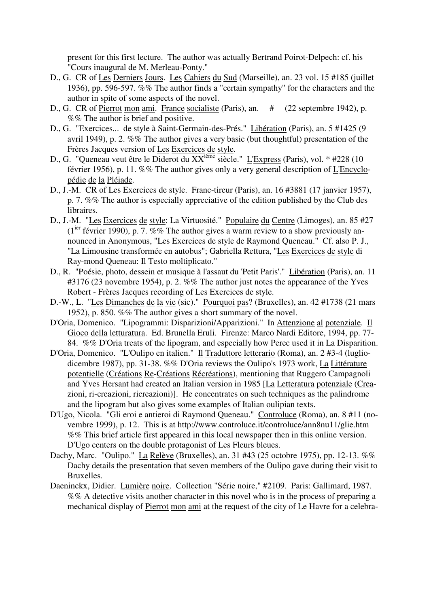present for this first lecture. The author was actually Bertrand Poirot-Delpech: cf. his "Cours inaugural de M. Merleau-Ponty."

- D., G. CR of Les Derniers Jours. Les Cahiers du Sud (Marseille), an. 23 vol. 15 #185 (juillet 1936), pp. 596-597. %% The author finds a "certain sympathy" for the characters and the author in spite of some aspects of the novel.
- D., G. CR of Pierrot mon ami. France socialiste (Paris), an. # (22 septembre 1942), p. %% The author is brief and positive.
- D., G. "Exercices... de style à Saint-Germain-des-Prés." Libération (Paris), an. 5 #1425 (9 avril 1949), p. 2. %% The author gives a very basic (but thoughtful) presentation of the Frères Jacques version of Les Exercices de style.
- D., G. "Queneau veut être le Diderot du XX<sup>ième</sup> siècle." L'Express (Paris), vol. \* #228 (10 février 1956), p. 11. %% The author gives only a very general description of L'Encyclopédie de la Pléiade.
- D., J.-M. CR of Les Exercices de style. Franc-tireur (Paris), an. 16 #3881 (17 janvier 1957). p. 7. %% The author is especially appreciative of the edition published by the Club des libraires.
- D., J.-M. "Les Exercices de style: La Virtuosité." Populaire du Centre (Limoges), an. 85 #27 ( $1^{iter}$  février 1990), p. 7. %% The author gives a warm review to a show previously announced in Anonymous, "Les Exercices de style de Raymond Queneau." Cf. also P. J., "La Limousine transformée en autobus"; Gabriella Rettura, "Les Exercices de style di Ray-mond Queneau: Il Testo moltiplicato."
- D., R. "Poésie, photo, dessein et musique à l'assaut du 'Petit Paris'." Libération (Paris), an. 11 #3176 (23 novembre 1954), p. 2. %% The author just notes the appearance of the Yves Robert - Frères Jacques recording of Les Exercices de style.
- D.-W., L. "Les Dimanches de la vie (sic)." Pourquoi pas? (Bruxelles), an. 42 #1738 (21 mars 1952), p. 850. %% The author gives a short summary of the novel.
- D'Oria, Domenico. "Lipogrammi: Disparizioni/Apparizioni." In Attenzione al potenziale. Il Gioco della letturatura. Ed. Brunella Eruli. Firenze: Marco Nardi Editore, 1994, pp. 77- 84. %% D'Oria treats of the lipogram, and especially how Perec used it in La Disparition.
- D'Oria, Domenico. "L'Oulipo en italien." Il Traduttore letterario (Roma), an. 2 #3-4 (lugliodicembre 1987), pp. 31-38. %% D'Oria reviews the Oulipo's 1973 work, La Littérature potentielle (Créations Re-Créations Récréations), mentioning that Ruggero Campagnoli and Yves Hersant had created an Italian version in 1985 [La Letteratura potenziale (Creazioni, ri-creazioni, ricreazioni)]. He concentrates on such techniques as the palindrome and the lipogram but also gives some examples of Italian oulipian texts.
- D'Ugo, Nicola. "Gli eroi e antieroi di Raymond Queneau." Controluce (Roma), an. 8 #11 (novembre 1999), p. 12. This is at http://www.controluce.it/controluce/ann8nu11/glie.htm %% This brief article first appeared in this local newspaper then in this online version. D'Ugo centers on the double protagonist of Les Fleurs bleues.
- Dachy, Marc. "Oulipo." La Relève (Bruxelles), an. 31 #43 (25 octobre 1975), pp. 12-13. %% Dachy details the presentation that seven members of the Oulipo gave during their visit to Bruxelles.
- Daeninckx, Didier. Lumière noire. Collection "Série noire," #2109. Paris: Gallimard, 1987. %% A detective visits another character in this novel who is in the process of preparing a mechanical display of Pierrot mon ami at the request of the city of Le Havre for a celebra-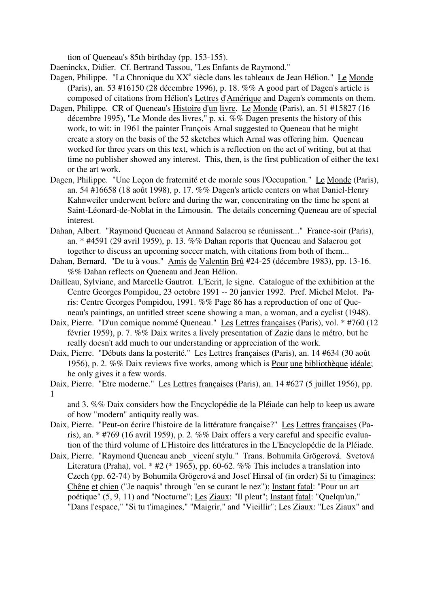tion of Queneau's 85th birthday (pp. 153-155).

Daeninckx, Didier. Cf. Bertrand Tassou, "Les Enfants de Raymond."

- Dagen, Philippe. "La Chronique du XX<sup>e</sup> siècle dans les tableaux de Jean Hélion." Le Monde (Paris), an. 53 #16150 (28 décembre 1996), p. 18. %% A good part of Dagen's article is composed of citations from Hélion's Lettres d'Amérique and Dagen's comments on them.
- Dagen, Philippe. CR of Queneau's Histoire d'un livre. Le Monde (Paris), an. 51 #15827 (16 décembre 1995), "Le Monde des livres," p. xi. %% Dagen presents the history of this work, to wit: in 1961 the painter François Arnal suggested to Queneau that he might create a story on the basis of the 52 sketches which Arnal was offering him. Queneau worked for three years on this text, which is a reflection on the act of writing, but at that time no publisher showed any interest. This, then, is the first publication of either the text or the art work.
- Dagen, Philippe. "Une Leçon de fraternité et de morale sous l'Occupation." Le Monde (Paris), an. 54 #16658 (18 août 1998), p. 17. %% Dagen's article centers on what Daniel-Henry Kahnweiler underwent before and during the war, concentrating on the time he spent at Saint-Léonard-de-Noblat in the Limousin. The details concerning Queneau are of special interest.
- Dahan, Albert. "Raymond Queneau et Armand Salacrou se réunissent..." France-soir (Paris), an. \* #4591 (29 avril 1959), p. 13. %% Dahan reports that Queneau and Salacrou got together to discuss an upcoming soccer match, with citations from both of them...
- Dahan, Bernard. "De tu à vous." Amis de Valentin Brû #24-25 (décembre 1983), pp. 13-16. %% Dahan reflects on Queneau and Jean Hélion.
- Dailleau, Sylviane, and Marcelle Gautrot. L'Ecrit, le signe. Catalogue of the exhibition at the Centre Georges Pompidou, 23 octobre 1991 -- 20 janvier 1992. Pref. Michel Melot. Paris: Centre Georges Pompidou, 1991. %% Page 86 has a reproduction of one of Queneau's paintings, an untitled street scene showing a man, a woman, and a cyclist (1948).
- Daix, Pierre. "D'un comique nommé Queneau." Les Lettres françaises (Paris), vol. \* #760 (12 février 1959), p. 7. %% Daix writes a lively presentation of Zazie dans le métro, but he really doesn't add much to our understanding or appreciation of the work.
- Daix, Pierre. "Débuts dans la posterité." Les Lettres françaises (Paris), an. 14 #634 (30 août 1956), p. 2. %% Daix reviews five works, among which is Pour une bibliothèque idéale; he only gives it a few words.
- Daix, Pierre. "Etre moderne." Les Lettres françaises (Paris), an. 14 #627 (5 juillet 1956), pp. 1

and 3. %% Daix considers how the Encyclopédie de la Pléiade can help to keep us aware of how "modern" antiquity really was.

- Daix, Pierre. "Peut-on écrire l'histoire de la littérature française?" Les Lettres françaises (Paris), an. \* #769 (16 avril 1959), p. 2. %% Daix offers a very careful and specific evaluation of the third volume of L'Histoire des littératures in the L'Encyclopédie de la Pléiade.
- Daix, Pierre. "Raymond Queneau aneb vicení stylu." Trans. Bohumila Grögerová. Svetová Literatura (Praha), vol. \* #2 (\* 1965), pp. 60-62. %% This includes a translation into Czech (pp. 62-74) by Bohumila Grögerová and Josef Hirsal of (in order) Si tu t'imagines: Chêne et chien ("Je naquis" through "en se curant le nez"); Instant fatal: "Pour un art poétique" (5, 9, 11) and "Nocturne"; Les Ziaux: "Il pleut"; Instant fatal: "Quelqu'un," "Dans l'espace," "Si tu t'imagines," "Maigrir," and "Vieillir"; Les Ziaux: "Les Ziaux" and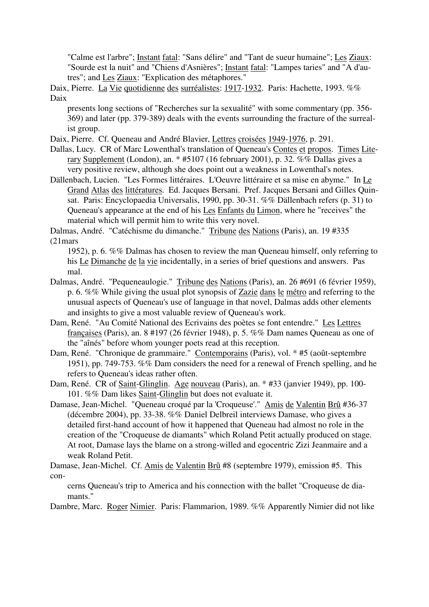"Calme est l'arbre"; Instant fatal: "Sans délire" and "Tant de sueur humaine"; Les Ziaux: "Sourde est la nuit" and "Chiens d'Asnières"; Instant fatal: "Lampes taries" and "A d'autres"; and Les Ziaux: "Explication des métaphores."

Daix, Pierre. La Vie quotidienne des surréalistes: 1917-1932. Paris: Hachette, 1993. %% Daix

presents long sections of "Recherches sur la sexualité" with some commentary (pp. 356- 369) and later (pp. 379-389) deals with the events surrounding the fracture of the surrealist group.

Daix, Pierre. Cf. Queneau and André Blavier, Lettres croisées 1949-1976, p. 291.

Dallas, Lucy. CR of Marc Lowenthal's translation of Queneau's Contes et propos. Times Literary Supplement (London), an. \* #5107 (16 february 2001), p. 32. %% Dallas gives a very positive review, although she does point out a weakness in Lowenthal's notes.

Dällenbach, Lucien. "Les Formes littéraires. L'Oeuvre littéraire et sa mise en abyme." In Le Grand Atlas des littératures. Ed. Jacques Bersani. Pref. Jacques Bersani and Gilles Quinsat. Paris: Encyclopaedia Universalis, 1990, pp. 30-31. %% Dällenbach refers (p. 31) to Queneau's appearance at the end of his Les Enfants du Limon, where he "receives" the material which will permit him to write this very novel.

Dalmas, André. "Catéchisme du dimanche." Tribune des Nations (Paris), an. 19 #335 (21mars

1952), p. 6. %% Dalmas has chosen to review the man Queneau himself, only referring to his Le Dimanche de la vie incidentally, in a series of brief questions and answers. Pas mal.

- Dalmas, André. "Pequeneaulogie." Tribune des Nations (Paris), an. 26 #691 (6 février 1959), p. 6. %% While giving the usual plot synopsis of Zazie dans le métro and referring to the unusual aspects of Queneau's use of language in that novel, Dalmas adds other elements and insights to give a most valuable review of Queneau's work.
- Dam, René. "Au Comité National des Ecrivains des poètes se font entendre." Les Lettres françaises (Paris), an. 8 #197 (26 février 1948), p. 5. %% Dam names Queneau as one of the "aînés" before whom younger poets read at this reception.

Dam, René. "Chronique de grammaire." Contemporains (Paris), vol. \* #5 (août-septembre 1951), pp. 749-753. %% Dam considers the need for a renewal of French spelling, and he refers to Queneau's ideas rather often.

Dam, René. CR of Saint-Glinglin. Age nouveau (Paris), an. \* #33 (janvier 1949), pp. 100- 101. %% Dam likes Saint-Glinglin but does not evaluate it.

Damase, Jean-Michel. "Queneau croqué par la 'Croqueuse'." Amis de Valentin Brû #36-37 (décembre 2004), pp. 33-38. %% Daniel Delbreil interviews Damase, who gives a detailed first-hand account of how it happened that Queneau had almost no role in the creation of the "Croqueuse de diamants" which Roland Petit actually produced on stage. At root, Damase lays the blame on a strong-willed and egocentric Zizi Jeanmaire and a weak Roland Petit.

Damase, Jean-Michel. Cf. Amis de Valentin Brû #8 (septembre 1979), emission #5. This con-

cerns Queneau's trip to America and his connection with the ballet "Croqueuse de diamants."

Dambre, Marc. Roger Nimier. Paris: Flammarion, 1989. %% Apparently Nimier did not like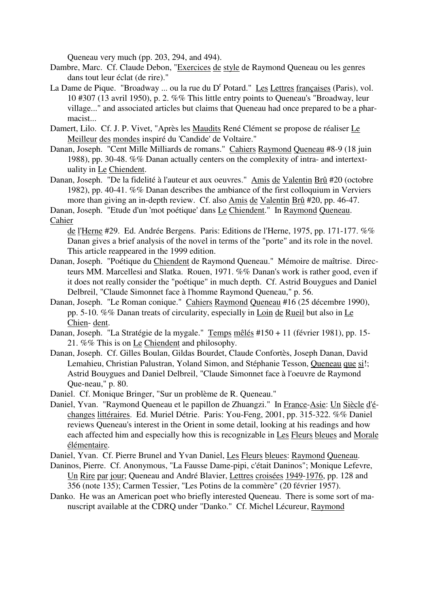Queneau very much (pp. 203, 294, and 494).

- Dambre, Marc. Cf. Claude Debon, "Exercices de style de Raymond Queneau ou les genres dans tout leur éclat (de rire)."
- La Dame de Pique. "Broadway ... ou la rue du D<sup>r</sup> Potard." Les Lettres françaises (Paris), vol. 10 #307 (13 avril 1950), p. 2. %% This little entry points to Queneau's "Broadway, leur village..." and associated articles but claims that Queneau had once prepared to be a pharmacist...
- Damert, Lilo. Cf. J. P. Vivet, "Après les Maudits René Clément se propose de réaliser Le Meilleur des mondes inspiré du 'Candide' de Voltaire."
- Danan, Joseph. "Cent Mille Milliards de romans." Cahiers Raymond Queneau #8-9 (18 juin 1988), pp. 30-48. %% Danan actually centers on the complexity of intra- and intertextuality in Le Chiendent.
- Danan, Joseph. "De la fidelité à l'auteur et aux oeuvres." Amis de Valentin Brû #20 (octobre 1982), pp. 40-41. %% Danan describes the ambiance of the first colloquium in Verviers more than giving an in-depth review. Cf. also Amis de Valentin Brû #20, pp. 46-47.

Danan, Joseph. "Etude d'un 'mot poétique' dans Le Chiendent." In Raymond Queneau. Cahier

de l'Herne #29. Ed. Andrée Bergens. Paris: Editions de l'Herne, 1975, pp. 171-177. %% Danan gives a brief analysis of the novel in terms of the "porte" and its role in the novel. This article reappeared in the 1999 edition.

- Danan, Joseph. "Poétique du Chiendent de Raymond Queneau." Mémoire de maîtrise. Directeurs MM. Marcellesi and Slatka. Rouen, 1971. %% Danan's work is rather good, even if it does not really consider the "poétique" in much depth. Cf. Astrid Bouygues and Daniel Delbreil, "Claude Simonnet face à l'homme Raymond Queneau," p. 56.
- Danan, Joseph. "Le Roman conique." Cahiers Raymond Queneau #16 (25 décembre 1990), pp. 5-10. %% Danan treats of circularity, especially in Loin de Rueil but also in Le Chien- dent.
- Danan, Joseph. "La Stratégie de la mygale." Temps mêlés #150 + 11 (février 1981), pp. 15- 21. %% This is on Le Chiendent and philosophy.
- Danan, Joseph. Cf. Gilles Boulan, Gildas Bourdet, Claude Confortès, Joseph Danan, David Lemahieu, Christian Palustran, Yoland Simon, and Stéphanie Tesson, Queneau que si!; Astrid Bouygues and Daniel Delbreil, "Claude Simonnet face à l'oeuvre de Raymond Que-neau," p. 80.

Daniel. Cf. Monique Bringer, "Sur un problème de R. Queneau."

- Daniel, Yvan. "Raymond Queneau et le papillon de Zhuangzi." In France-Asie: Un Siècle d'échanges littéraires. Ed. Muriel Détrie. Paris: You-Feng, 2001, pp. 315-322. %% Daniel reviews Queneau's interest in the Orient in some detail, looking at his readings and how each affected him and especially how this is recognizable in Les Fleurs bleues and Morale élémentaire.
- Daniel, Yvan. Cf. Pierre Brunel and Yvan Daniel, Les Fleurs bleues: Raymond Queneau.
- Daninos, Pierre. Cf. Anonymous, "La Fausse Dame-pipi, c'était Daninos"; Monique Lefevre, Un Rire par jour; Queneau and André Blavier, Lettres croisées 1949-1976, pp. 128 and 356 (note 135); Carmen Tessier, "Les Potins de la commère" (20 février 1957).
- Danko. He was an American poet who briefly interested Queneau. There is some sort of manuscript available at the CDRQ under "Danko." Cf. Michel Lécureur, Raymond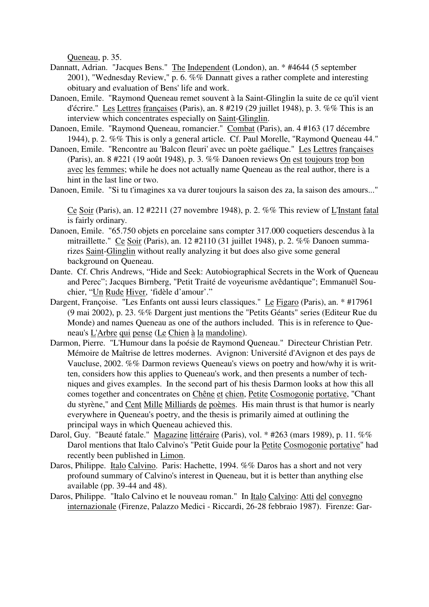Queneau, p. 35.

- Dannatt, Adrian. "Jacques Bens." The Independent (London), an. \* #4644 (5 september 2001), "Wednesday Review," p. 6. %% Dannatt gives a rather complete and interesting obituary and evaluation of Bens' life and work.
- Danoen, Emile. "Raymond Queneau remet souvent à la Saint-Glinglin la suite de ce qu'il vient d'écrire." Les Lettres françaises (Paris), an. 8 #219 (29 juillet 1948), p. 3. %% This is an interview which concentrates especially on Saint-Glinglin.
- Danoen, Emile. "Raymond Queneau, romancier." Combat (Paris), an. 4 #163 (17 décembre 1944), p. 2. %% This is only a general article. Cf. Paul Morelle, "Raymond Queneau 44."
- Danoen, Emile. "Rencontre au 'Balcon fleuri' avec un poète gaélique." Les Lettres françaises (Paris), an. 8 #221 (19 août 1948), p. 3. %% Danoen reviews On est toujours trop bon avec les femmes; while he does not actually name Queneau as the real author, there is a hint in the last line or two.

Danoen, Emile. "Si tu t'imagines xa va durer toujours la saison des za, la saison des amours..."

Ce Soir (Paris), an. 12 #2211 (27 novembre 1948), p. 2. %% This review of L'Instant fatal is fairly ordinary.

- Danoen, Emile. "65.750 objets en porcelaine sans compter 317.000 coquetiers descendus à la mitraillette." Ce Soir (Paris), an. 12 #2110 (31 juillet 1948), p. 2. %% Danoen summarizes Saint-Glinglin without really analyzing it but does also give some general background on Queneau.
- Dante. Cf. Chris Andrews, "Hide and Seek: Autobiographical Secrets in the Work of Queneau and Perec"; Jacques Birnberg, "Petit Traité de voyeurisme avêdantique"; Emmanuël Souchier, "Un Rude Hiver, 'fidèle d'amour'."
- Dargent, Françoise. "Les Enfants ont aussi leurs classiques." Le Figaro (Paris), an. \* #17961 (9 mai 2002), p. 23. %% Dargent just mentions the "Petits Géants" series (Editeur Rue du Monde) and names Queneau as one of the authors included. This is in reference to Queneau's L'Arbre qui pense (Le Chien à la mandoline).
- Darmon, Pierre. "L'Humour dans la poésie de Raymond Queneau." Directeur Christian Petr. Mémoire de Maîtrise de lettres modernes. Avignon: Université d'Avignon et des pays de Vaucluse, 2002. %% Darmon reviews Queneau's views on poetry and how/why it is written, considers how this applies to Queneau's work, and then presents a number of techniques and gives examples. In the second part of his thesis Darmon looks at how this all comes together and concentrates on Chêne et chien, Petite Cosmogonie portative, "Chant du styrène," and Cent Mille Milliards de poèmes. His main thrust is that humor is nearly everywhere in Queneau's poetry, and the thesis is primarily aimed at outlining the principal ways in which Queneau achieved this.
- Darol, Guy. "Beauté fatale." Magazine littéraire (Paris), vol. \* #263 (mars 1989), p. 11. %% Darol mentions that Italo Calvino's "Petit Guide pour la Petite Cosmogonie portative" had recently been published in Limon.
- Daros, Philippe. Italo Calvino. Paris: Hachette, 1994. %% Daros has a short and not very profound summary of Calvino's interest in Queneau, but it is better than anything else available (pp. 39-44 and 48).
- Daros, Philippe. "Italo Calvino et le nouveau roman." In Italo Calvino: Atti del convegno internazionale (Firenze, Palazzo Medici - Riccardi, 26-28 febbraio 1987). Firenze: Gar-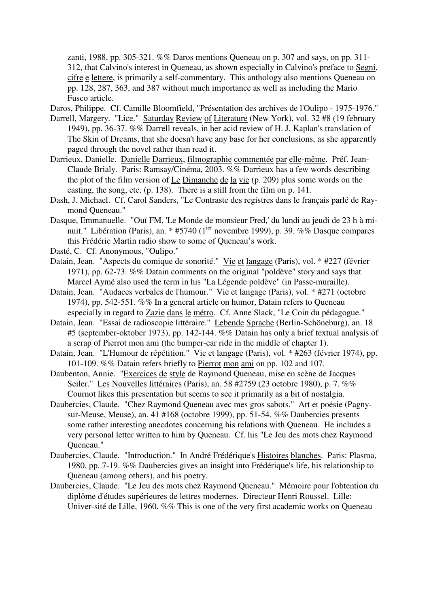zanti, 1988, pp. 305-321. %% Daros mentions Queneau on p. 307 and says, on pp. 311- 312, that Calvino's interest in Queneau, as shown especially in Calvino's preface to Segni, cifre e lettere, is primarily a self-commentary. This anthology also mentions Queneau on pp. 128, 287, 363, and 387 without much importance as well as including the Mario Fusco article.

Daros, Philippe. Cf. Camille Bloomfield, "Présentation des archives de l'Oulipo - 1975-1976."

- Darrell, Margery. "Lice." Saturday Review of Literature (New York), vol. 32 #8 (19 february 1949), pp. 36-37. %% Darrell reveals, in her acid review of H. J. Kaplan's translation of The Skin of Dreams, that she doesn't have any base for her conclusions, as she apparently paged through the novel rather than read it.
- Darrieux, Danielle. Danielle Darrieux, filmographie commentée par elle-même. Préf. Jean-Claude Brialy. Paris: Ramsay/Cinéma, 2003. %% Darrieux has a few words describing the plot of the film version of Le Dimanche de la vie (p. 209) plus some words on the casting, the song, etc. (p. 138). There is a still from the film on p. 141.
- Dash, J. Michael. Cf. Carol Sanders, "Le Contraste des registres dans le français parlé de Raymond Queneau."
- Dasque, Emmanuelle. "Ouï FM, 'Le Monde de monsieur Fred,' du lundi au jeudi de 23 h à minuit." Libération (Paris), an. \* #5740 (1<sup>ier</sup> novembre 1999), p. 39. %% Dasque compares this Frédéric Martin radio show to some of Queneau's work.
- Dasté, C. Cf. Anonymous, "Oulipo."
- Datain, Jean. "Aspects du comique de sonorité." Vie et langage (Paris), vol. \* #227 (février 1971), pp. 62-73. %% Datain comments on the original "poldève" story and says that Marcel Aymé also used the term in his "La Légende poldève" (in Passe-muraille).
- Datain, Jean. "Audaces verbales de l'humour." Vie et langage (Paris), vol. \* #271 (octobre 1974), pp. 542-551. %% In a general article on humor, Datain refers to Queneau especially in regard to Zazie dans le métro. Cf. Anne Slack, "Le Coin du pédagogue."
- Datain, Jean. "Essai de radioscopie littéraire." Lebende Sprache (Berlin-Schöneburg), an. 18 #5 (september-oktober 1973), pp. 142-144. %% Datain has only a brief textual analysis of a scrap of Pierrot mon ami (the bumper-car ride in the middle of chapter 1).
- Datain, Jean. "L'Humour de répétition." Vie et langage (Paris), vol. \* #263 (février 1974), pp. 101-109. %% Datain refers briefly to Pierrot mon ami on pp. 102 and 107.
- Daubenton, Annie. "Exercices de style de Raymond Queneau, mise en scène de Jacques Seiler." Les Nouvelles littéraires (Paris), an. 58 #2759 (23 octobre 1980), p. 7. %% Cournot likes this presentation but seems to see it primarily as a bit of nostalgia.
- Daubercies, Claude. "Chez Raymond Queneau avec mes gros sabots." Art et poésie (Pagnysur-Meuse, Meuse), an. 41 #168 (octobre 1999), pp. 51-54. %% Daubercies presents some rather interesting anecdotes concerning his relations with Queneau. He includes a very personal letter written to him by Queneau. Cf. his "Le Jeu des mots chez Raymond Queneau."
- Daubercies, Claude. "Introduction." In André Frédérique's Histoires blanches. Paris: Plasma, 1980, pp. 7-19. %% Daubercies gives an insight into Frédérique's life, his relationship to Queneau (among others), and his poetry.
- Daubercies, Claude. "Le Jeu des mots chez Raymond Queneau." Mémoire pour l'obtention du diplôme d'études supérieures de lettres modernes. Directeur Henri Roussel. Lille: Univer-sité de Lille, 1960. %% This is one of the very first academic works on Queneau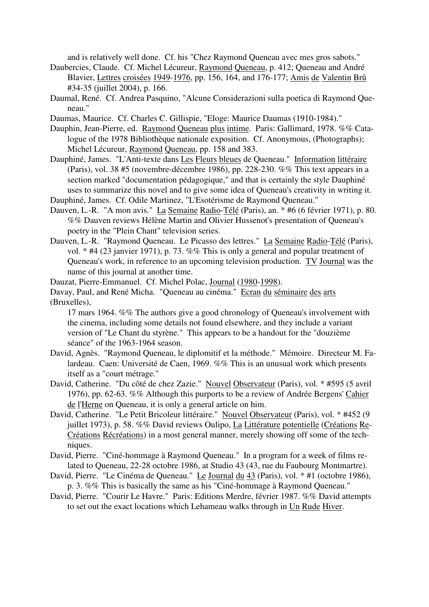and is relatively well done. Cf. his "Chez Raymond Queneau avec mes gros sabots."

- Daubercies, Claude. Cf. Michel Lécureur, Raymond Queneau, p. 412; Queneau and André Blavier, Lettres croisées 1949-1976, pp. 156, 164, and 176-177; Amis de Valentin Brû #34-35 (juillet 2004), p. 166.
- Daumal, René. Cf. Andrea Pasquino, "Alcune Considerazioni sulla poetica di Raymond Queneau."

Daumas, Maurice. Cf. Charles C. Gillispie, "Eloge: Maurice Daumas (1910-1984)."

- Dauphin, Jean-Pierre, ed. Raymond Queneau plus intime. Paris: Gallimard, 1978. %% Catalogue of the 1978 Bibliothèque nationale exposition. Cf. Anonymous, (Photographs); Michel Lécureur, Raymond Queneau, pp. 158 and 383.
- Dauphiné, James. "L'Anti-texte dans Les Fleurs bleues de Queneau." Information littéraire (Paris), vol. 38 #5 (novembre-décembre 1986), pp. 228-230. %% This text appears in a section marked "documentation pédagogique," and that is certainly the style Dauphiné uses to summarize this novel and to give some idea of Queneau's creativity in writing it.

Dauphiné, James. Cf. Odile Martinez, "L'Esotérisme de Raymond Queneau."

- Dauven, L.-R. "A mon avis." La Semaine Radio-Télé (Paris), an. \* #6 (6 février 1971), p. 80. %% Dauven reviews Hélène Martin and Olivier Hussenot's presentation of Queneau's poetry in the "Plein Chant" television series.
- Dauven, L.-R. "Raymond Queneau. Le Picasso des lettres." La Semaine Radio-Télé (Paris), vol. \* #4 (23 janvier 1971), p. 73. %% This is only a general and popular treatment of Queneau's work, in reference to an upcoming television production. TV Journal was the name of this journal at another time.

Dauzat, Pierre-Emmanuel. Cf. Michel Polac, Journal (1980-1998).

Davay, Paul, and René Micha. "Queneau au cinéma." Ecran du séminaire des arts (Bruxelles),

17 mars 1964. %% The authors give a good chronology of Queneau's involvement with the cinema, including some details not found elsewhere, and they include a variant version of "Le Chant du styrène." This appears to be a handout for the "douzième séance" of the 1963-1964 season.

- David, Agnès. "Raymond Queneau, le diplomitif et la méthode." Mémoire. Directeur M. Falardeau. Caen: Université de Caen, 1969. %% This is an unusual work which presents itself as a "court métrage."
- David, Catherine. "Du côté de chez Zazie." Nouvel Observateur (Paris), vol. \* #595 (5 avril 1976), pp. 62-63. %% Although this purports to be a review of Andrée Bergens' Cahier de l'Herne on Queneau, it is only a general article on him.
- David, Catherine. "Le Petit Bricoleur littéraire." Nouvel Observateur (Paris), vol. \* #452 (9 juillet 1973), p. 58. %% David reviews Oulipo, La Littérature potentielle (Créations Re-Créations Récréations) in a most general manner, merely showing off some of the techniques.
- David, Pierre. "Ciné-hommage à Raymond Queneau." In a program for a week of films related to Queneau, 22-28 octobre 1986, at Studio 43 (43, rue du Faubourg Montmartre).
- David, Pierre. "Le Cinéma de Queneau." Le Journal du 43 (Paris), vol. \* #1 (octobre 1986), p. 3. %% This is basically the same as his "Ciné-hommage à Raymond Queneau."
- David, Pierre. "Courir Le Havre." Paris: Editions Merdre, février 1987. %% David attempts to set out the exact locations which Lehameau walks through in Un Rude Hiver.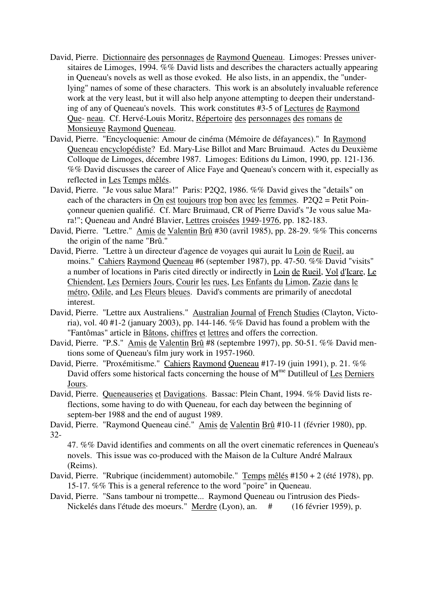- David, Pierre. Dictionnaire des personnages de Raymond Queneau. Limoges: Presses universitaires de Limoges, 1994. %% David lists and describes the characters actually appearing in Queneau's novels as well as those evoked. He also lists, in an appendix, the "underlying" names of some of these characters. This work is an absolutely invaluable reference work at the very least, but it will also help anyone attempting to deepen their understanding of any of Queneau's novels. This work constitutes #3-5 of Lectures de Raymond Que- neau. Cf. Hervé-Louis Moritz, Répertoire des personnages des romans de Monsieuye Raymond Queneau.
- David, Pierre. "Encycloquenie: Amour de cinéma (Mémoire de défayances)." In Raymond Queneau encyclopédiste? Ed. Mary-Lise Billot and Marc Bruimaud. Actes du Deuxième Colloque de Limoges, décembre 1987. Limoges: Editions du Limon, 1990, pp. 121-136. %% David discusses the career of Alice Faye and Queneau's concern with it, especially as reflected in Les Temps mêlés.
- David, Pierre. "Je vous salue Mara!" Paris: P2Q2, 1986. %% David gives the "details" on each of the characters in On est toujours trop bon avec les femmes. P2Q2 = Petit Poinçonneur quenien qualifié. Cf. Marc Bruimaud, CR of Pierre David's "Je vous salue Mara!"; Queneau and André Blavier, Lettres croisées 1949-1976, pp. 182-183.
- David, Pierre. "Lettre." Amis de Valentin Brû #30 (avril 1985), pp. 28-29. %% This concerns the origin of the name "Brû."
- David, Pierre. "Lettre à un directeur d'agence de voyages qui aurait lu Loin de Rueil, au moins." Cahiers Raymond Queneau #6 (september 1987), pp. 47-50. %% David "visits" a number of locations in Paris cited directly or indirectly in Loin de Rueil, Vol d'Icare, Le Chiendent, Les Derniers Jours, Courir les rues, Les Enfants du Limon, Zazie dans le métro, Odile, and Les Fleurs bleues. David's comments are primarily of anecdotal interest.
- David, Pierre. "Lettre aux Australiens." Australian Journal of French Studies (Clayton, Victoria), vol. 40 #1-2 (january 2003), pp. 144-146. %% David has found a problem with the "Fantômas" article in Bâtons, chiffres et lettres and offers the correction.
- David, Pierre. "P.S." Amis de Valentin Brû #8 (septembre 1997), pp. 50-51. %% David mentions some of Queneau's film jury work in 1957-1960.
- David, Pierre. "Proxémitisme." Cahiers Raymond Queneau #17-19 (juin 1991), p. 21. %% David offers some historical facts concerning the house of  $M<sup>me</sup>$  Dutilleul of Les Derniers Jours.
- David, Pierre. Queneauseries et Davigations. Bassac: Plein Chant, 1994. %% David lists reflections, some having to do with Queneau, for each day between the beginning of septem-ber 1988 and the end of august 1989.

David, Pierre. "Raymond Queneau ciné." Amis de Valentin Brû #10-11 (février 1980), pp. 32-

47. %% David identifies and comments on all the overt cinematic references in Queneau's novels. This issue was co-produced with the Maison de la Culture André Malraux (Reims).

- David, Pierre. "Rubrique (incidemment) automobile." Temps mêlés #150 + 2 (été 1978), pp. 15-17. %% This is a general reference to the word "poire" in Queneau.
- David, Pierre. "Sans tambour ni trompette... Raymond Queneau ou l'intrusion des Pieds-Nickelés dans l'étude des moeurs." Merdre (Lyon), an. # (16 février 1959), p.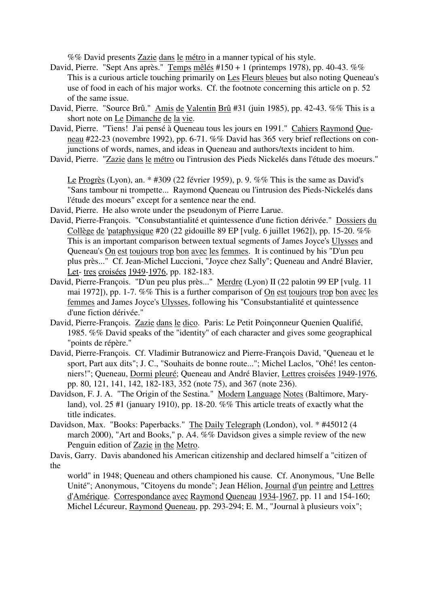%% David presents Zazie dans le métro in a manner typical of his style.

- David, Pierre. "Sept Ans après." Temps mêlés #150 + 1 (printemps 1978), pp. 40-43. %% This is a curious article touching primarily on Les Fleurs bleues but also noting Queneau's use of food in each of his major works. Cf. the footnote concerning this article on p. 52 of the same issue.
- David, Pierre. "Source Brû." Amis de Valentin Brû #31 (juin 1985), pp. 42-43. %% This is a short note on Le Dimanche de la vie.
- David, Pierre. "Tiens! J'ai pensé à Queneau tous les jours en 1991." Cahiers Raymond Queneau #22-23 (novembre 1992), pp. 6-71. %% David has 365 very brief reflections on conjunctions of words, names, and ideas in Queneau and authors/texts incident to him.
- David, Pierre. "Zazie dans le métro ou l'intrusion des Pieds Nickelés dans l'étude des moeurs."

Le Progrès (Lyon), an. \* #309 (22 février 1959), p. 9. %% This is the same as David's "Sans tambour ni trompette... Raymond Queneau ou l'intrusion des Pieds-Nickelés dans l'étude des moeurs" except for a sentence near the end.

- David, Pierre. He also wrote under the pseudonym of Pierre Larue.
- David, Pierre-François. "Consubstantialité et quintessence d'une fiction dérivée." Dossiers du Collège de 'pataphysique #20 (22 gidouille 89 EP [vulg. 6 juillet 1962]), pp. 15-20. %% This is an important comparison between textual segments of James Joyce's Ulysses and Queneau's On est toujours trop bon avec les femmes. It is continued by his "D'un peu plus près..." Cf. Jean-Michel Luccioni, "Joyce chez Sally"; Queneau and André Blavier, Let- tres croisées 1949-1976, pp. 182-183.
- David, Pierre-François. "D'un peu plus près..." Merdre (Lyon) II (22 palotin 99 EP [vulg. 11 mai 1972]), pp. 1-7. %% This is a further comparison of On est toujours trop bon avec les femmes and James Joyce's Ulysses, following his "Consubstantialité et quintessence d'une fiction dérivée."
- David, Pierre-François. Zazie dans le dico. Paris: Le Petit Poinçonneur Quenien Qualifié, 1985. %% David speaks of the "identity" of each character and gives some geographical "points de répère."
- David, Pierre-François. Cf. Vladimir Butranowicz and Pierre-François David, "Queneau et le sport, Part aux dits"; J. C., "Souhaits de bonne route..."; Michel Laclos, "Ohé! les centonniers!"; Queneau, Dormi pleuré; Queneau and André Blavier, Lettres croisées 1949-1976, pp. 80, 121, 141, 142, 182-183, 352 (note 75), and 367 (note 236).
- Davidson, F. J. A. "The Origin of the Sestina." Modern Language Notes (Baltimore, Maryland), vol. 25 #1 (january 1910), pp. 18-20. %% This article treats of exactly what the title indicates.
- Davidson, Max. "Books: Paperbacks." The Daily Telegraph (London), vol. \* #45012 (4 march 2000), "Art and Books," p. A4. %% Davidson gives a simple review of the new Penguin edition of Zazie in the Metro.
- Davis, Garry. Davis abandoned his American citizenship and declared himself a "citizen of the

world" in 1948; Queneau and others championed his cause. Cf. Anonymous, "Une Belle Unité"; Anonymous, "Citoyens du monde"; Jean Hélion, Journal d'un peintre and Lettres d'Amérique. Correspondance avec Raymond Queneau 1934-1967, pp. 11 and 154-160; Michel Lécureur, Raymond Queneau, pp. 293-294; E. M., "Journal à plusieurs voix";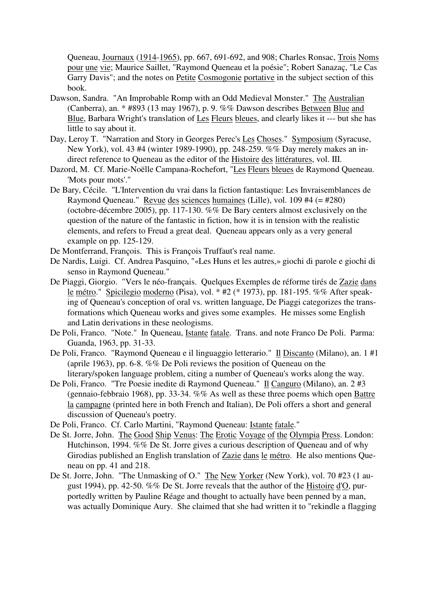Queneau, Journaux (1914-1965), pp. 667, 691-692, and 908; Charles Ronsac, Trois Noms pour une vie; Maurice Saillet, "Raymond Queneau et la poésie"; Robert Sanazaç, "Le Cas Garry Davis"; and the notes on Petite Cosmogonie portative in the subject section of this book.

- Dawson, Sandra. "An Improbable Romp with an Odd Medieval Monster." The Australian (Canberra), an. \* #893 (13 may 1967), p. 9. %% Dawson describes Between Blue and Blue, Barbara Wright's translation of Les Fleurs bleues, and clearly likes it --- but she has little to say about it.
- Day, Leroy T. "Narration and Story in Georges Perec's Les Choses." Symposium (Syracuse, New York), vol. 43 #4 (winter 1989-1990), pp. 248-259. %% Day merely makes an indirect reference to Queneau as the editor of the Histoire des littératures, vol. III.
- Dazord, M. Cf. Marie-Noëlle Campana-Rochefort, "Les Fleurs bleues de Raymond Queneau. 'Mots pour mots'."
- De Bary, Cécile. "L'Intervention du vrai dans la fiction fantastique: Les Invraisemblances de Raymond Queneau." Revue des sciences humaines (Lille), vol. 109 #4 (= #280) (octobre-décembre 2005), pp. 117-130. %% De Bary centers almost exclusively on the question of the nature of the fantastic in fiction, how it is in tension with the realistic elements, and refers to Freud a great deal. Queneau appears only as a very general example on pp. 125-129.
- De Montferrand, François. This is François Truffaut's real name.
- De Nardis, Luigi. Cf. Andrea Pasquino, "«Les Huns et les autres,» giochi di parole e giochi di senso in Raymond Queneau."
- De Piaggi, Giorgio. "Vers le néo-français. Quelques Exemples de réforme tirés de Zazie dans le métro." Spicilegio moderno (Pisa), vol. \* #2 (\* 1973), pp. 181-195. %% After speaking of Queneau's conception of oral vs. written language, De Piaggi categorizes the transformations which Queneau works and gives some examples. He misses some English and Latin derivations in these neologisms.
- De Poli, Franco. "Note." In Queneau, Istante fatale. Trans. and note Franco De Poli. Parma: Guanda, 1963, pp. 31-33.
- De Poli, Franco. "Raymond Queneau e il linguaggio letterario." Il Discanto (Milano), an. 1 #1 (aprile 1963), pp. 6-8. %% De Poli reviews the position of Queneau on the literary/spoken language problem, citing a number of Queneau's works along the way.
- De Poli, Franco. "Tre Poesie inedite di Raymond Queneau." Il Canguro (Milano), an. 2 #3 (gennaio-febbraio 1968), pp. 33-34. %% As well as these three poems which open Battre la campagne (printed here in both French and Italian), De Poli offers a short and general discussion of Queneau's poetry.
- De Poli, Franco. Cf. Carlo Martini, "Raymond Queneau: Istante fatale."
- De St. Jorre, John. The Good Ship Venus: The Erotic Voyage of the Olympia Press. London: Hutchinson, 1994. %% De St. Jorre gives a curious description of Queneau and of why Girodias published an English translation of Zazie dans le métro. He also mentions Queneau on pp. 41 and 218.
- De St. Jorre, John. "The Unmasking of O." The New Yorker (New York), vol. 70 #23 (1 august 1994), pp. 42-50. %% De St. Jorre reveals that the author of the Histoire d'O, purportedly written by Pauline Réage and thought to actually have been penned by a man, was actually Dominique Aury. She claimed that she had written it to "rekindle a flagging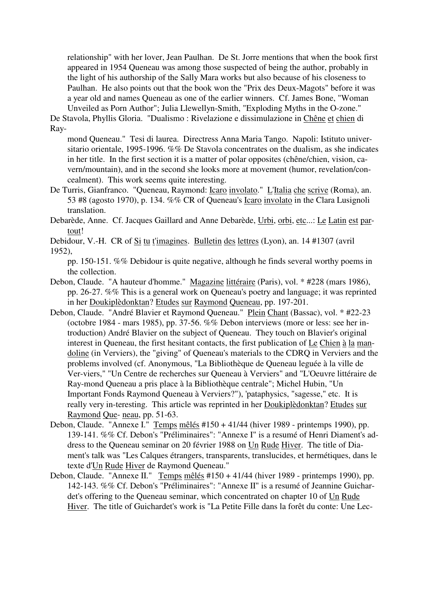relationship" with her lover, Jean Paulhan. De St. Jorre mentions that when the book first appeared in 1954 Queneau was among those suspected of being the author, probably in the light of his authorship of the Sally Mara works but also because of his closeness to Paulhan. He also points out that the book won the "Prix des Deux-Magots" before it was a year old and names Queneau as one of the earlier winners. Cf. James Bone, "Woman Unveiled as Porn Author"; Julia Llewellyn-Smith, "Exploding Myths in the O-zone."

De Stavola, Phyllis Gloria. "Dualismo : Rivelazione e dissimulazione in Chêne et chien di Ray-

mond Queneau." Tesi di laurea. Directress Anna Maria Tango. Napoli: Istituto universitario orientale, 1995-1996. %% De Stavola concentrates on the dualism, as she indicates in her title. In the first section it is a matter of polar opposites (chêne/chien, vision, cavern/mountain), and in the second she looks more at movement (humor, revelation/concealment). This work seems quite interesting.

- De Turris, Gianfranco. "Queneau, Raymond: Icaro involato." L'Italia che scrive (Roma), an. 53 #8 (agosto 1970), p. 134. %% CR of Queneau's Icaro involato in the Clara Lusignoli translation.
- Debarède, Anne. Cf. Jacques Gaillard and Anne Debarède, Urbi, orbi, etc...: Le Latin est partout!
- Debidour, V.-H. CR of Si tu t'imagines. Bulletin des lettres (Lyon), an. 14 #1307 (avril

pp. 150-151. %% Debidour is quite negative, although he finds several worthy poems in the collection.

- Debon, Claude. "A hauteur d'homme." Magazine littéraire (Paris), vol. \* #228 (mars 1986), pp. 26-27. %% This is a general work on Queneau's poetry and language; it was reprinted in her Doukiplèdonktan? Etudes sur Raymond Queneau, pp. 197-201.
- Debon, Claude. "André Blavier et Raymond Queneau." Plein Chant (Bassac), vol. \* #22-23 (octobre 1984 - mars 1985), pp. 37-56. %% Debon interviews (more or less: see her introduction) André Blavier on the subject of Queneau. They touch on Blavier's original interest in Queneau, the first hesitant contacts, the first publication of Le Chien à la mandoline (in Verviers), the "giving" of Queneau's materials to the CDRQ in Verviers and the problems involved (cf. Anonymous, "La Bibliothèque de Queneau leguée à la ville de Ver-viers," "Un Centre de recherches sur Queneau à Verviers" and "L'Oeuvre littéraire de Ray-mond Queneau a pris place à la Bibliothèque centrale"; Michel Hubin, "Un Important Fonds Raymond Queneau à Verviers?"), 'pataphysics, "sagesse," etc. It is really very in-teresting. This article was reprinted in her Doukiplèdonktan? Etudes sur Raymond Que- neau, pp. 51-63.
- Debon, Claude. "Annexe I." Temps mêlés #150 + 41/44 (hiver 1989 printemps 1990), pp. 139-141. %% Cf. Debon's "Préliminaires": "Annexe I" is a resumé of Henri Diament's address to the Queneau seminar on 20 février 1988 on Un Rude Hiver. The title of Diament's talk was "Les Calques étrangers, transparents, translucides, et hermétiques, dans le texte d'Un Rude Hiver de Raymond Queneau."
- Debon, Claude. "Annexe II." Temps mêlés #150 + 41/44 (hiver 1989 printemps 1990), pp. 142-143. %% Cf. Debon's "Préliminaires": "Annexe II" is a resumé of Jeannine Guichardet's offering to the Queneau seminar, which concentrated on chapter 10 of Un Rude Hiver. The title of Guichardet's work is "La Petite Fille dans la forêt du conte: Une Lec-

<sup>1952),</sup>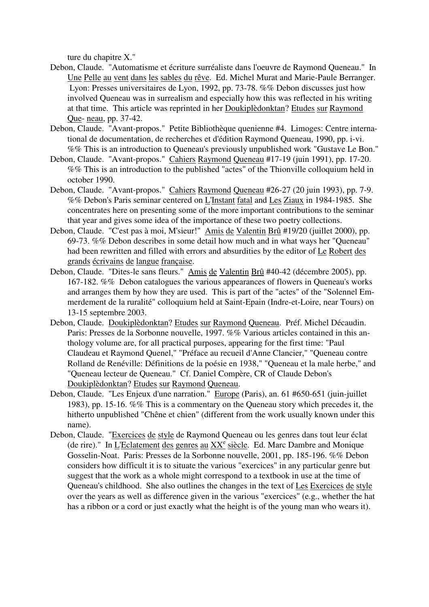ture du chapitre X."

- Debon, Claude. "Automatisme et écriture surréaliste dans l'oeuvre de Raymond Queneau." In Une Pelle au vent dans les sables du rêve. Ed. Michel Murat and Marie-Paule Berranger. Lyon: Presses universitaires de Lyon, 1992, pp. 73-78. %% Debon discusses just how involved Queneau was in surrealism and especially how this was reflected in his writing at that time. This article was reprinted in her Doukiplèdonktan? Etudes sur Raymond Que- neau, pp. 37-42.
- Debon, Claude. "Avant-propos." Petite Bibliothèque quenienne #4. Limoges: Centre international de documentation, de recherches et d'édition Raymond Queneau, 1990, pp. i-vi. %% This is an introduction to Queneau's previously unpublished work "Gustave Le Bon."
- Debon, Claude. "Avant-propos." Cahiers Raymond Queneau #17-19 (juin 1991), pp. 17-20. %% This is an introduction to the published "actes" of the Thionville colloquium held in october 1990.
- Debon, Claude. "Avant-propos." Cahiers Raymond Queneau #26-27 (20 juin 1993), pp. 7-9. %% Debon's Paris seminar centered on L'Instant fatal and Les Ziaux in 1984-1985. She concentrates here on presenting some of the more important contributions to the seminar that year and gives some idea of the importance of these two poetry collections.
- Debon, Claude. "C'est pas à moi, M'sieur!" Amis de Valentin Brû #19/20 (juillet 2000), pp. 69-73. %% Debon describes in some detail how much and in what ways her "Queneau" had been rewritten and filled with errors and absurdities by the editor of Le Robert des grands écrivains de langue française.
- Debon, Claude. "Dites-le sans fleurs." Amis de Valentin Brû #40-42 (décembre 2005), pp. 167-182. %% Debon catalogues the various appearances of flowers in Queneau's works and arranges them by how they are used. This is part of the "actes" of the "Solennel Emmerdement de la ruralité" colloquium held at Saint-Epain (Indre-et-Loire, near Tours) on 13-15 septembre 2003.
- Debon, Claude. Doukiplèdonktan? Etudes sur Raymond Queneau. Préf. Michel Décaudin. Paris: Presses de la Sorbonne nouvelle, 1997. %% Various articles contained in this anthology volume are, for all practical purposes, appearing for the first time: "Paul Claudeau et Raymond Quenel," "Préface au recueil d'Anne Clancier," "Queneau contre Rolland de Renéville: Définitions de la poésie en 1938," "Queneau et la male herbe," and "Queneau lecteur de Queneau." Cf. Daniel Compère, CR of Claude Debon's Doukiplèdonktan? Etudes sur Raymond Queneau.
- Debon, Claude. "Les Enjeux d'une narration." Europe (Paris), an. 61 #650-651 (juin-juillet 1983), pp. 15-16. %% This is a commentary on the Queneau story which precedes it, the hitherto unpublished "Chêne et chien" (different from the work usually known under this name).
- Debon, Claude. "Exercices de style de Raymond Queneau ou les genres dans tout leur éclat (de rire)." In L'Eclatement des genres au  $XX^e$  siècle. Ed. Marc Dambre and Monique Gosselin-Noat. Paris: Presses de la Sorbonne nouvelle, 2001, pp. 185-196. %% Debon considers how difficult it is to situate the various "exercices" in any particular genre but suggest that the work as a whole might correspond to a textbook in use at the time of Queneau's childhood. She also outlines the changes in the text of Les Exercices de style over the years as well as difference given in the various "exercices" (e.g., whether the hat has a ribbon or a cord or just exactly what the height is of the young man who wears it).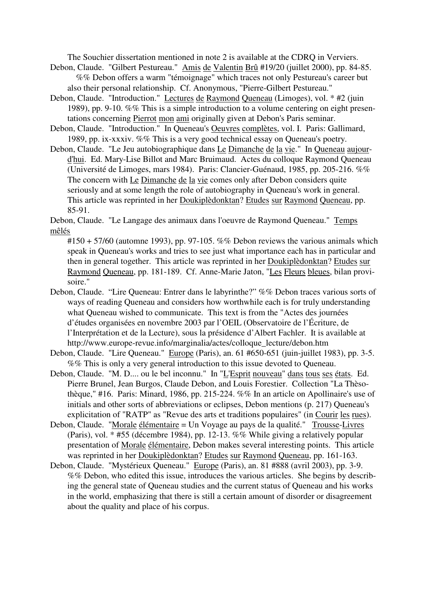The Souchier dissertation mentioned in note 2 is available at the CDRQ in Verviers.

- Debon, Claude. "Gilbert Pestureau." Amis de Valentin Brû #19/20 (juillet 2000), pp. 84-85. %% Debon offers a warm "témoignage" which traces not only Pestureau's career but also their personal relationship. Cf. Anonymous, "Pierre-Gilbert Pestureau."
- Debon, Claude. "Introduction." Lectures de Raymond Queneau (Limoges), vol. \* #2 (juin 1989), pp. 9-10. %% This is a simple introduction to a volume centering on eight presentations concerning Pierrot mon ami originally given at Debon's Paris seminar.
- Debon, Claude. "Introduction." In Queneau's Oeuvres complètes, vol. I. Paris: Gallimard, 1989, pp. ix-xxxiv. %% This is a very good technical essay on Queneau's poetry.
- Debon, Claude. "Le Jeu autobiographique dans Le Dimanche de la vie." In Queneau aujourd'hui. Ed. Mary-Lise Billot and Marc Bruimaud. Actes du colloque Raymond Queneau (Université de Limoges, mars 1984). Paris: Clancier-Guénaud, 1985, pp. 205-216. %% The concern with Le Dimanche de la vie comes only after Debon considers quite seriously and at some length the role of autobiography in Queneau's work in general. This article was reprinted in her Doukiplèdonktan? Etudes sur Raymond Queneau, pp. 85-91.

Debon, Claude. "Le Langage des animaux dans l'oeuvre de Raymond Queneau." Temps mêlés

 $\text{\#150 + 57/60}$  (automne 1993), pp. 97-105. %% Debon reviews the various animals which speak in Queneau's works and tries to see just what importance each has in particular and then in general together. This article was reprinted in her Doukiplèdonktan? Etudes sur Raymond Queneau, pp. 181-189. Cf. Anne-Marie Jaton, "Les Fleurs bleues, bilan provisoire."

- Debon, Claude. "Lire Queneau: Entrer dans le labyrinthe?" %% Debon traces various sorts of ways of reading Queneau and considers how worthwhile each is for truly understanding what Queneau wished to communicate. This text is from the "Actes des journées d'études organisées en novembre 2003 par l'OEIL (Observatoire de l'Écriture, de l'Interprétation et de la Lecture), sous la présidence d'Albert Fachler. It is available at http://www.europe-revue.info/marginalia/actes/colloque\_lecture/debon.htm
- Debon, Claude. "Lire Queneau." Europe (Paris), an. 61 #650-651 (juin-juillet 1983), pp. 3-5. %% This is only a very general introduction to this issue devoted to Queneau.
- Debon, Claude. "M. D.... ou le bel inconnu." In "L'Esprit nouveau" dans tous ses états. Ed. Pierre Brunel, Jean Burgos, Claude Debon, and Louis Forestier. Collection "La Thèsothèque," #16. Paris: Minard, 1986, pp. 215-224. %% In an article on Apollinaire's use of initials and other sorts of abbreviations or eclipses, Debon mentions (p. 217) Queneau's explicitation of "RATP" as "Revue des arts et traditions populaires" (in Courir les rues).
- Debon, Claude. "Morale élémentaire = Un Voyage au pays de la qualité." Trousse-Livres (Paris), vol. \* #55 (décembre 1984), pp. 12-13. %% While giving a relatively popular presentation of Morale élémentaire, Debon makes several interesting points. This article was reprinted in her Doukiplèdonktan? Etudes sur Raymond Queneau, pp. 161-163.
- Debon, Claude. "Mystérieux Queneau." Europe (Paris), an. 81 #888 (avril 2003), pp. 3-9. %% Debon, who edited this issue, introduces the various articles. She begins by describing the general state of Queneau studies and the current status of Queneau and his works in the world, emphasizing that there is still a certain amount of disorder or disagreement about the quality and place of his corpus.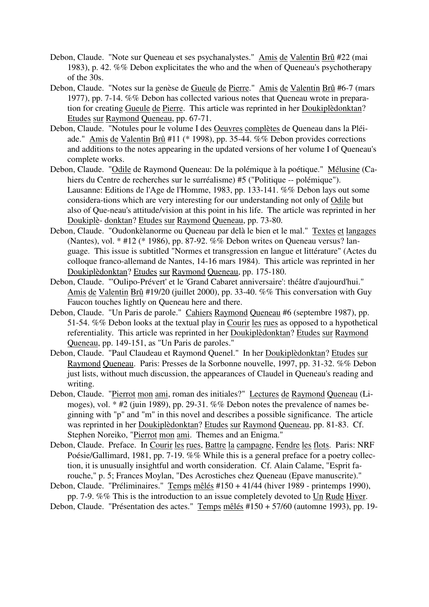- Debon, Claude. "Note sur Queneau et ses psychanalystes." Amis de Valentin Brû #22 (mai 1983), p. 42. %% Debon explicitates the who and the when of Queneau's psychotherapy of the 30s.
- Debon, Claude. "Notes sur la genèse de Gueule de Pierre." Amis de Valentin Brû #6-7 (mars 1977), pp. 7-14. %% Debon has collected various notes that Queneau wrote in preparation for creating Gueule de Pierre. This article was reprinted in her Doukiplèdonktan? Etudes sur Raymond Queneau, pp. 67-71.
- Debon, Claude. "Notules pour le volume I des Oeuvres complètes de Queneau dans la Pléiade." Amis de Valentin Brû #11 (\* 1998), pp. 35-44. %% Debon provides corrections and additions to the notes appearing in the updated versions of her volume I of Queneau's complete works.
- Debon, Claude. "Odile de Raymond Queneau: De la polémique à la poétique." Mélusine (Cahiers du Centre de recherches sur le surréalisme) #5 ("Politique -- polémique"). Lausanne: Editions de l'Age de l'Homme, 1983, pp. 133-141. %% Debon lays out some considera-tions which are very interesting for our understanding not only of Odile but also of Que-neau's attitude/vision at this point in his life. The article was reprinted in her Doukiplè- donktan? Etudes sur Raymond Queneau, pp. 73-80.
- Debon, Claude. "Oudonkèlanorme ou Queneau par delà le bien et le mal." Textes et langages (Nantes), vol. \* #12 (\* 1986), pp. 87-92. %% Debon writes on Queneau versus? language. This issue is subtitled "Normes et transgression en langue et littérature" (Actes du colloque franco-allemand de Nantes, 14-16 mars 1984). This article was reprinted in her Doukiplèdonktan? Etudes sur Raymond Queneau, pp. 175-180.
- Debon, Claude. "'Oulipo-Prévert' et le 'Grand Cabaret anniversaire': théâtre d'aujourd'hui." Amis de Valentin Brû #19/20 (juillet 2000), pp. 33-40. %% This conversation with Guy Faucon touches lightly on Queneau here and there.
- Debon, Claude. "Un Paris de parole." Cahiers Raymond Queneau #6 (septembre 1987), pp. 51-54. %% Debon looks at the textual play in Courir les rues as opposed to a hypothetical referentiality. This article was reprinted in her Doukiplèdonktan? Etudes sur Raymond Queneau, pp. 149-151, as "Un Paris de paroles."
- Debon, Claude. "Paul Claudeau et Raymond Quenel." In her Doukiplèdonktan? Etudes sur Raymond Queneau. Paris: Presses de la Sorbonne nouvelle, 1997, pp. 31-32. %% Debon just lists, without much discussion, the appearances of Claudel in Queneau's reading and writing.
- Debon, Claude. "Pierrot mon ami, roman des initiales?" Lectures de Raymond Queneau (Limoges), vol. \* #2 (juin 1989), pp. 29-31. %% Debon notes the prevalence of names beginning with "p" and "m" in this novel and describes a possible significance. The article was reprinted in her Doukiplèdonktan? Etudes sur Raymond Queneau, pp. 81-83. Cf. Stephen Noreiko, "Pierrot mon ami. Themes and an Enigma."
- Debon, Claude. Preface. In Courir les rues, Battre la campagne, Fendre les flots. Paris: NRF Poésie/Gallimard, 1981, pp. 7-19. %% While this is a general preface for a poetry collection, it is unusually insightful and worth consideration. Cf. Alain Calame, "Esprit farouche," p. 5; Frances Moylan, "Des Acrostiches chez Queneau (Epave manuscrite)."
- Debon, Claude. "Préliminaires." Temps mêlés #150 + 41/44 (hiver 1989 printemps 1990), pp. 7-9. %% This is the introduction to an issue completely devoted to Un Rude Hiver.
- Debon, Claude. "Présentation des actes." Temps mêlés #150 + 57/60 (automne 1993), pp. 19-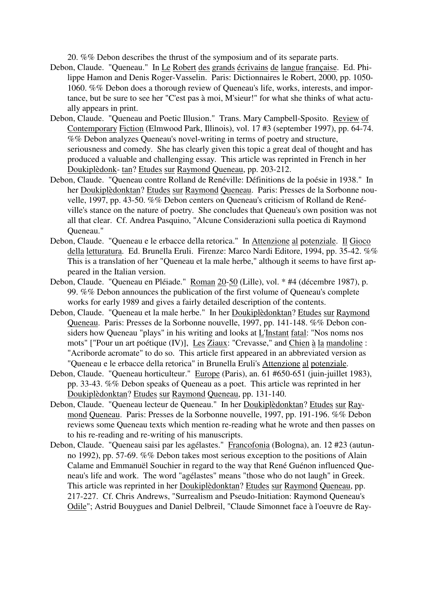20. %% Debon describes the thrust of the symposium and of its separate parts.

- Debon, Claude. "Queneau." In Le Robert des grands écrivains de langue française. Ed. Philippe Hamon and Denis Roger-Vasselin. Paris: Dictionnaires le Robert, 2000, pp. 1050- 1060. %% Debon does a thorough review of Queneau's life, works, interests, and importance, but be sure to see her "C'est pas à moi, M'sieur!" for what she thinks of what actually appears in print.
- Debon, Claude. "Queneau and Poetic Illusion." Trans. Mary Campbell-Sposito. Review of Contemporary Fiction (Elmwood Park, Illinois), vol. 17 #3 (september 1997), pp. 64-74. %% Debon analyzes Queneau's novel-writing in terms of poetry and structure, seriousness and comedy. She has clearly given this topic a great deal of thought and has produced a valuable and challenging essay. This article was reprinted in French in her Doukiplèdonk- tan? Etudes sur Raymond Queneau, pp. 203-212.
- Debon, Claude. "Queneau contre Rolland de Renéville: Définitions de la poésie in 1938." In her Doukiplèdonktan? Etudes sur Raymond Queneau. Paris: Presses de la Sorbonne nouvelle, 1997, pp. 43-50. %% Debon centers on Queneau's criticism of Rolland de Renéville's stance on the nature of poetry. She concludes that Queneau's own position was not all that clear. Cf. Andrea Pasquino, "Alcune Considerazioni sulla poetica di Raymond Queneau."
- Debon, Claude. "Queneau e le erbacce della retorica." In Attenzione al potenziale. Il Gioco della letturatura. Ed. Brunella Eruli. Firenze: Marco Nardi Editore, 1994, pp. 35-42. %% This is a translation of her "Queneau et la male herbe," although it seems to have first appeared in the Italian version.
- Debon, Claude. "Queneau en Pléiade." Roman 20-50 (Lille), vol. \* #4 (décembre 1987), p. 99. %% Debon announces the publication of the first volume of Queneau's complete works for early 1989 and gives a fairly detailed description of the contents.
- Debon, Claude. "Queneau et la male herbe." In her Doukiplèdonktan? Etudes sur Raymond Queneau. Paris: Presses de la Sorbonne nouvelle, 1997, pp. 141-148. %% Debon considers how Queneau "plays" in his writing and looks at L'Instant fatal: "Nos noms nos mots" ["Pour un art poétique (IV)], Les Ziaux: "Crevasse," and Chien à la mandoline : "Acriborde acromate" to do so. This article first appeared in an abbreviated version as "Queneau e le erbacce della retorica" in Brunella Eruli's Attenzione al potenziale.
- Debon, Claude. "Queneau horticulteur." Europe (Paris), an. 61 #650-651 (juin-juillet 1983), pp. 33-43. %% Debon speaks of Queneau as a poet. This article was reprinted in her Doukiplèdonktan? Etudes sur Raymond Queneau, pp. 131-140.
- Debon, Claude. "Queneau lecteur de Queneau." In her Doukiplèdonktan? Etudes sur Raymond Queneau. Paris: Presses de la Sorbonne nouvelle, 1997, pp. 191-196. %% Debon reviews some Queneau texts which mention re-reading what he wrote and then passes on to his re-reading and re-writing of his manuscripts.
- Debon, Claude. "Queneau saisi par les agélastes." Francofonia (Bologna), an. 12 #23 (autunno 1992), pp. 57-69. %% Debon takes most serious exception to the positions of Alain Calame and Emmanuël Souchier in regard to the way that René Guénon influenced Queneau's life and work. The word "agélastes" means "those who do not laugh" in Greek. This article was reprinted in her Doukiplèdonktan? Etudes sur Raymond Queneau, pp. 217-227. Cf. Chris Andrews, "Surrealism and Pseudo-Initiation: Raymond Queneau's Odile"; Astrid Bouygues and Daniel Delbreil, "Claude Simonnet face à l'oeuvre de Ray-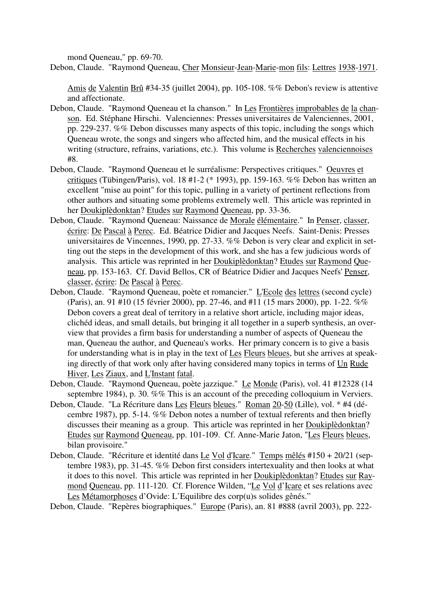mond Queneau," pp. 69-70.

Debon, Claude. "Raymond Queneau, Cher Monsieur-Jean-Marie-mon fils: Lettres 1938-1971.

Amis de Valentin Brû #34-35 (juillet 2004), pp. 105-108. %% Debon's review is attentive and affectionate.

- Debon, Claude. "Raymond Queneau et la chanson." In Les Frontières improbables de la chanson. Ed. Stéphane Hirschi. Valenciennes: Presses universitaires de Valenciennes, 2001, pp. 229-237. %% Debon discusses many aspects of this topic, including the songs which Queneau wrote, the songs and singers who affected him, and the musical effects in his writing (structure, refrains, variations, etc.). This volume is Recherches valenciennoises #8.
- Debon, Claude. "Raymond Queneau et le surréalisme: Perspectives critiques." Oeuvres et critiques (Tübingen/Paris), vol. 18 #1-2 (\* 1993), pp. 159-163. %% Debon has written an excellent "mise au point" for this topic, pulling in a variety of pertinent reflections from other authors and situating some problems extremely well. This article was reprinted in her Doukiplèdonktan? Etudes sur Raymond Queneau, pp. 33-36.
- Debon, Claude. "Raymond Queneau: Naissance de Morale élémentaire." In Penser, classer, écrire: De Pascal à Perec. Ed. Béatrice Didier and Jacques Neefs. Saint-Denis: Presses universitaires de Vincennes, 1990, pp. 27-33. %% Debon is very clear and explicit in setting out the steps in the development of this work, and she has a few judicious words of analysis. This article was reprinted in her Doukiplèdonktan? Etudes sur Raymond Queneau, pp. 153-163. Cf. David Bellos, CR of Béatrice Didier and Jacques Neefs' Penser, classer, écrire: De Pascal à Perec.
- Debon, Claude. "Raymond Queneau, poète et romancier." L'Ecole des lettres (second cycle) (Paris), an. 91 #10 (15 février 2000), pp. 27-46, and #11 (15 mars 2000), pp. 1-22. %% Debon covers a great deal of territory in a relative short article, including major ideas, clichéd ideas, and small details, but bringing it all together in a superb synthesis, an overview that provides a firm basis for understanding a number of aspects of Queneau the man, Queneau the author, and Queneau's works. Her primary concern is to give a basis for understanding what is in play in the text of Les Fleurs bleues, but she arrives at speaking directly of that work only after having considered many topics in terms of Un Rude Hiver, Les Ziaux, and L'Instant fatal.
- Debon, Claude. "Raymond Queneau, poète jazzique." Le Monde (Paris), vol. 41 #12328 (14 septembre 1984), p. 30. %% This is an account of the preceding colloquium in Verviers.
- Debon, Claude. "La Récriture dans Les Fleurs bleues." Roman 20-50 (Lille), vol. \* #4 (décembre 1987), pp. 5-14. %% Debon notes a number of textual referents and then briefly discusses their meaning as a group. This article was reprinted in her Doukiplèdonktan? Etudes sur Raymond Queneau, pp. 101-109. Cf. Anne-Marie Jaton, "Les Fleurs bleues, bilan provisoire."
- Debon, Claude. "Récriture et identité dans Le Vol d'Icare." Temps mêlés #150 + 20/21 (septembre 1983), pp. 31-45. %% Debon first considers intertexuality and then looks at what it does to this novel. This article was reprinted in her Doukiplèdonktan? Etudes sur Raymond Queneau, pp. 111-120. Cf. Florence Wilden, "Le Vol d'Icare et ses relations avec Les Métamorphoses d'Ovide: L'Equilibre des corp(u)s solides gênés."

Debon, Claude. "Repères biographiques." Europe (Paris), an. 81 #888 (avril 2003), pp. 222-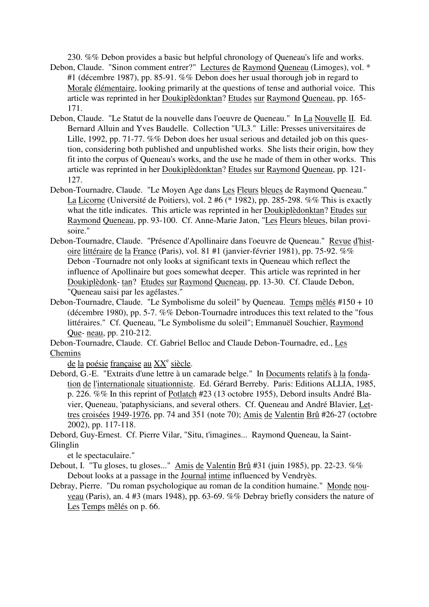230. %% Debon provides a basic but helpful chronology of Queneau's life and works.

- Debon, Claude. "Sinon comment entrer?" Lectures de Raymond Queneau (Limoges), vol. \* #1 (décembre 1987), pp. 85-91. %% Debon does her usual thorough job in regard to Morale élémentaire, looking primarily at the questions of tense and authorial voice. This article was reprinted in her Doukiplèdonktan? Etudes sur Raymond Queneau, pp. 165- 171.
- Debon, Claude. "Le Statut de la nouvelle dans l'oeuvre de Queneau." In La Nouvelle II. Ed. Bernard Alluin and Yves Baudelle. Collection "UL3." Lille: Presses universitaires de Lille, 1992, pp. 71-77. %% Debon does her usual serious and detailed job on this question, considering both published and unpublished works. She lists their origin, how they fit into the corpus of Queneau's works, and the use he made of them in other works. This article was reprinted in her Doukiplèdonktan? Etudes sur Raymond Queneau, pp. 121- 127.
- Debon-Tournadre, Claude. "Le Moyen Age dans Les Fleurs bleues de Raymond Queneau." La Licorne (Université de Poitiers), vol. 2 #6 (\* 1982), pp. 285-298. %% This is exactly what the title indicates. This article was reprinted in her Doukiplèdonktan? Etudes sur Raymond Queneau, pp. 93-100. Cf. Anne-Marie Jaton, "Les Fleurs bleues, bilan provisoire."
- Debon-Tournadre, Claude. "Présence d'Apollinaire dans l'oeuvre de Queneau." Revue d'histoire littéraire de la France (Paris), vol. 81 #1 (janvier-février 1981), pp. 75-92. %% Debon -Tournadre not only looks at significant texts in Queneau which reflect the influence of Apollinaire but goes somewhat deeper. This article was reprinted in her Doukiplèdonk- tan? Etudes sur Raymond Queneau, pp. 13-30. Cf. Claude Debon, "Queneau saisi par les agélastes."
- Debon-Tournadre, Claude. "Le Symbolisme du soleil" by Queneau. Temps mêlés #150 + 10 (décembre 1980), pp. 5-7. %% Debon-Tournadre introduces this text related to the "fous littéraires." Cf. Queneau, "Le Symbolisme du soleil"; Emmanuël Souchier, Raymond Que- neau, pp. 210-212.

Debon-Tournadre, Claude. Cf. Gabriel Belloc and Claude Debon-Tournadre, ed., Les Chemins

de la poésie française au XX<sup>e</sup> siècle.

Debord, G.-E. "Extraits d'une lettre à un camarade belge." In Documents relatifs à la fondation de l'internationale situationniste. Ed. Gérard Berreby. Paris: Editions ALLIA, 1985, p. 226. %% In this reprint of Potlatch #23 (13 octobre 1955), Debord insults André Blavier, Queneau, 'pataphysicians, and several others. Cf. Queneau and André Blavier, Lettres croisées 1949-1976, pp. 74 and 351 (note 70); Amis de Valentin Brû #26-27 (octobre 2002), pp. 117-118.

Debord, Guy-Ernest. Cf. Pierre Vilar, "Situ, t'imagines... Raymond Queneau, la Saint-Glinglin

et le spectaculaire."

- Debout, I. "Tu gloses, tu gloses..." Amis de Valentin Brû #31 (juin 1985), pp. 22-23. %% Debout looks at a passage in the Journal intime influenced by Vendryès.
- Debray, Pierre. "Du roman psychologique au roman de la condition humaine." Monde nouveau (Paris), an. 4 #3 (mars 1948), pp. 63-69. %% Debray briefly considers the nature of Les Temps mêlés on p. 66.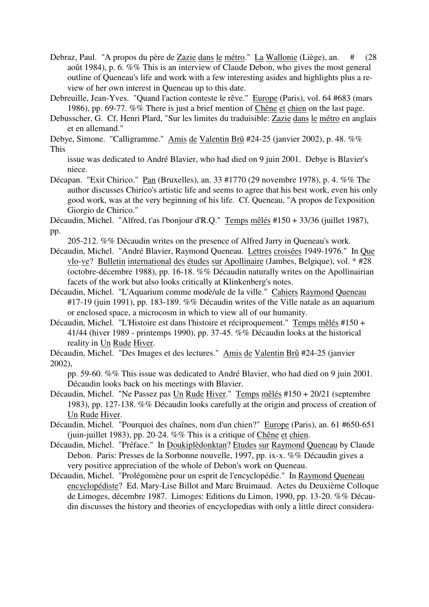- Debraz, Paul. "A propos du père de Zazie dans le métro." La Wallonie (Liège), an. # (28 août 1984), p. 6. %% This is an interview of Claude Debon, who gives the most general outline of Queneau's life and work with a few interesting asides and highlights plus a review of her own interest in Queneau up to this date.
- Debreuille, Jean-Yves. "Quand l'action conteste le rêve." Europe (Paris), vol. 64 #683 (mars 1986), pp. 69-77. %% There is just a brief mention of Chêne et chien on the last page.
- Debusscher, G. Cf. Henri Plard, "Sur les limites du traduisible: Zazie dans le métro en anglais et en allemand."
- Debye, Simone. "Calligramme." Amis de Valentin Brû #24-25 (janvier 2002), p. 48. %% This

issue was dedicated to André Blavier, who had died on 9 juin 2001. Debye is Blavier's niece.

Décapan. "Exit Chirico." Pan (Bruxelles), an. 33 #1770 (29 novembre 1978), p. 4. %% The author discusses Chirico's artistic life and seems to agree that his best work, even his only good work, was at the very beginning of his life. Cf. Queneau, "A propos de l'exposition Giorgio de Chirico."

Décaudin, Michel. "Alfred, t'as l'bonjour d'R.Q." Temps mêlés #150 + 33/36 (juillet 1987), pp.

- 205-212. %% Décaudin writes on the presence of Alfred Jarry in Queneau's work.
- Décaudin, Michel. "André Blavier, Raymond Queneau. Lettres croisées 1949-1976." In Que vlo-ve? Bulletin international des études sur Apollinaire (Jambes, Belgique), vol. \* #28 (octobre-décembre 1988), pp. 16-18. %% Décaudin naturally writes on the Apollinairian facets of the work but also looks critically at Klinkenberg's notes.
- Décaudin, Michel. "L'Aquarium comme modè/ule de la ville." Cahiers Raymond Queneau #17-19 (juin 1991), pp. 183-189. %% Décaudin writes of the Ville natale as an aquarium or enclosed space, a microcosm in which to view all of our humanity.
- Décaudin, Michel. "L'Histoire est dans l'histoire et réciproquement." Temps mêlés #150 + 41/44 (hiver 1989 - printemps 1990), pp. 37-45. %% Décaudin looks at the historical reality in Un Rude Hiver.
- Décaudin, Michel. "Des Images et des lectures." Amis de Valentin Brû #24-25 (janvier 2002),

pp. 59-60. %% This issue was dedicated to André Blavier, who had died on 9 juin 2001. Décaudin looks back on his meetings with Blavier.

- Décaudin, Michel. "Ne Passez pas Un Rude Hiver." Temps mêlés #150 + 20/21 (septembre 1983), pp. 127-138. %% Décaudin looks carefully at the origin and process of creation of Un Rude Hiver.
- Décaudin, Michel. "Pourquoi des chaînes, nom d'un chien?" Europe (Paris), an. 61 #650-651 (juin-juillet 1983), pp. 20-24. %% This is a critique of Chêne et chien.
- Décaudin, Michel. "Préface." In Doukiplèdonktan? Etudes sur Raymond Queneau by Claude Debon. Paris: Presses de la Sorbonne nouvelle, 1997, pp. ix-x. %% Décaudin gives a very positive appreciation of the whole of Debon's work on Queneau.
- Décaudin, Michel. "Prolégomène pour un esprit de l'encyclopédie." In Raymond Queneau encyclopédiste? Ed. Mary-Lise Billot and Marc Bruimaud. Actes du Deuxième Colloque de Limoges, décembre 1987. Limoges: Editions du Limon, 1990, pp. 13-20. %% Décaudin discusses the history and theories of encyclopedias with only a little direct considera-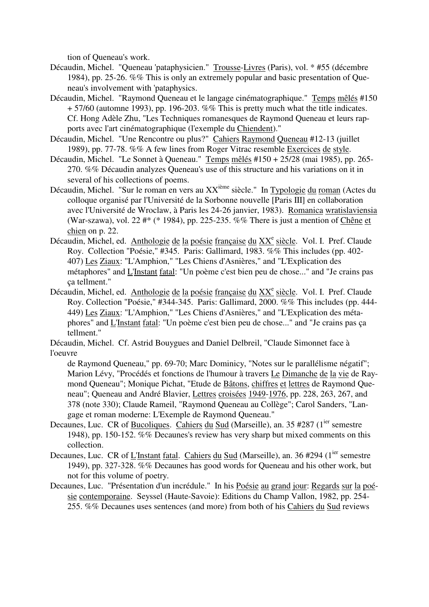tion of Queneau's work.

- Décaudin, Michel. "Queneau 'pataphysicien." Trousse-Livres (Paris), vol. \* #55 (décembre 1984), pp. 25-26. %% This is only an extremely popular and basic presentation of Queneau's involvement with 'pataphysics.
- Décaudin, Michel. "Raymond Queneau et le langage cinématographique." Temps mêlés #150 + 57/60 (automne 1993), pp. 196-203. %% This is pretty much what the title indicates. Cf. Hong Adèle Zhu, "Les Techniques romanesques de Raymond Queneau et leurs rapports avec l'art cinématographique (l'exemple du Chiendent)."
- Décaudin, Michel. "Une Rencontre ou plus?" Cahiers Raymond Queneau #12-13 (juillet 1989), pp. 77-78. %% A few lines from Roger Vitrac resemble Exercices de style.
- Décaudin, Michel. "Le Sonnet à Queneau." Temps mêlés #150 + 25/28 (mai 1985), pp. 265- 270. %% Décaudin analyzes Queneau's use of this structure and his variations on it in several of his collections of poems.
- Décaudin, Michel. "Sur le roman en vers au XX<sup>ième</sup> siècle." In Typologie du roman (Actes du colloque organisé par l'Université de la Sorbonne nouvelle [Paris III] en collaboration avec l'Université de Wroclaw, à Paris les 24-26 janvier, 1983). Romanica wratislaviensia (War-szawa), vol. 22 #\* (\* 1984), pp. 225-235. %% There is just a mention of Chêne et chien on p. 22.
- Décaudin, Michel, ed. Anthologie de la poésie française du XX<sup>e</sup> siècle. Vol. I. Pref. Claude Roy. Collection "Poésie," #345. Paris: Gallimard, 1983. %% This includes (pp. 402- 407) Les Ziaux: "L'Amphion," "Les Chiens d'Asnières," and "L'Explication des métaphores" and L'Instant fatal: "Un poème c'est bien peu de chose..." and "Je crains pas ça tellment."
- Décaudin, Michel, ed. Anthologie de la poésie française du XX<sup>e</sup> siècle. Vol. I. Pref. Claude Roy. Collection "Poésie," #344-345. Paris: Gallimard, 2000. %% This includes (pp. 444- 449) Les Ziaux: "L'Amphion," "Les Chiens d'Asnières," and "L'Explication des métaphores" and L'Instant fatal: "Un poème c'est bien peu de chose..." and "Je crains pas ça tellment."

Décaudin, Michel. Cf. Astrid Bouygues and Daniel Delbreil, "Claude Simonnet face à l'oeuvre

- de Raymond Queneau," pp. 69-70; Marc Dominicy, "Notes sur le parallélisme négatif"; Marion Lévy, "Procédés et fonctions de l'humour à travers Le Dimanche de la vie de Raymond Queneau"; Monique Pichat, "Etude de Bâtons, chiffres et lettres de Raymond Queneau"; Queneau and André Blavier, Lettres croisées 1949-1976, pp. 228, 263, 267, and 378 (note 330); Claude Rameil, "Raymond Queneau au Collège"; Carol Sanders, "Langage et roman moderne: L'Exemple de Raymond Queneau."
- Decaunes, Luc. CR of Bucoliques. Cahiers du Sud (Marseille), an. 35 #287 (1<sup>ier</sup> semestre 1948), pp. 150-152. %% Decaunes's review has very sharp but mixed comments on this collection.
- Decaunes, Luc. CR of L'Instant fatal. Cahiers du Sud (Marseille), an. 36 #294 (1<sup>ier</sup> semestre 1949), pp. 327-328. %% Decaunes has good words for Queneau and his other work, but not for this volume of poetry.
- Decaunes, Luc. "Présentation d'un incrédule." In his Poésie au grand jour: Regards sur la poésie contemporaine. Seyssel (Haute-Savoie): Editions du Champ Vallon, 1982, pp. 254- 255. %% Decaunes uses sentences (and more) from both of his Cahiers du Sud reviews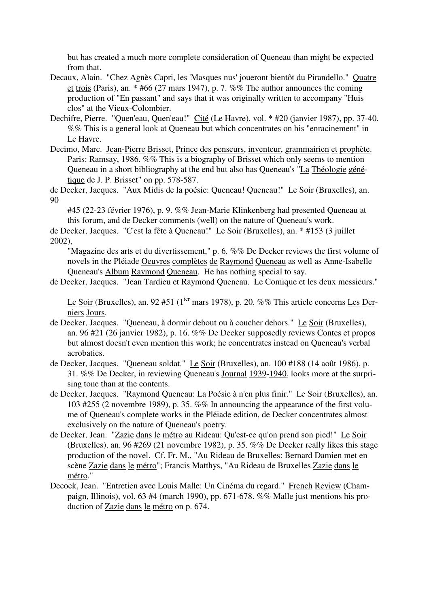but has created a much more complete consideration of Queneau than might be expected from that.

- Decaux, Alain. "Chez Agnès Capri, les 'Masques nus' joueront bientôt du Pirandello." Quatre et trois (Paris), an. \* #66 (27 mars 1947), p. 7. %% The author announces the coming production of "En passant" and says that it was originally written to accompany "Huis clos" at the Vieux-Colombier.
- Dechifre, Pierre. "Quen'eau, Quen'eau!" Cité (Le Havre), vol. \* #20 (janvier 1987), pp. 37-40. %% This is a general look at Queneau but which concentrates on his "enracinement" in Le Havre.
- Decimo, Marc. Jean-Pierre Brisset, Prince des penseurs, inventeur, grammairien et prophète. Paris: Ramsay, 1986. %% This is a biography of Brisset which only seems to mention Queneau in a short bibliography at the end but also has Queneau's "La Théologie génétique de J. P. Brisset" on pp. 578-587.

de Decker, Jacques. "Aux Midis de la poésie: Queneau! Queneau!" Le Soir (Bruxelles), an. 90

#45 (22-23 février 1976), p. 9. %% Jean-Marie Klinkenberg had presented Queneau at this forum, and de Decker comments (well) on the nature of Queneau's work.

de Decker, Jacques. "C'est la fête à Queneau!" Le Soir (Bruxelles), an. \* #153 (3 juillet 2002),

"Magazine des arts et du divertissement," p. 6. %% De Decker reviews the first volume of novels in the Pléiade Oeuvres complètes de Raymond Queneau as well as Anne-Isabelle Queneau's Album Raymond Queneau. He has nothing special to say.

de Decker, Jacques. "Jean Tardieu et Raymond Queneau. Le Comique et les deux messieurs."

Le Soir (Bruxelles), an. 92 #51 ( $1^{ier}$  mars 1978), p. 20. %% This article concerns Les Derniers Jours.

- de Decker, Jacques. "Queneau, à dormir debout ou à coucher dehors." Le Soir (Bruxelles), an. 96 #21 (26 janvier 1982), p. 16. %% De Decker supposedly reviews Contes et propos but almost doesn't even mention this work; he concentrates instead on Queneau's verbal acrobatics.
- de Decker, Jacques. "Queneau soldat." Le Soir (Bruxelles), an. 100 #188 (14 août 1986), p. 31. %% De Decker, in reviewing Queneau's Journal 1939-1940, looks more at the surprising tone than at the contents.
- de Decker, Jacques. "Raymond Queneau: La Poésie à n'en plus finir." Le Soir (Bruxelles), an. 103 #255 (2 novembre 1989), p. 35. %% In announcing the appearance of the first volume of Queneau's complete works in the Pléiade edition, de Decker concentrates almost exclusively on the nature of Queneau's poetry.
- de Decker, Jean. "Zazie dans le métro au Rideau: Qu'est-ce qu'on prend son pied!" Le Soir (Bruxelles), an. 96 #269 (21 novembre 1982), p. 35. %% De Decker really likes this stage production of the novel. Cf. Fr. M., "Au Rideau de Bruxelles: Bernard Damien met en scène Zazie dans le métro"; Francis Matthys, "Au Rideau de Bruxelles Zazie dans le métro."
- Decock, Jean. "Entretien avec Louis Malle: Un Cinéma du regard." French Review (Champaign, Illinois), vol. 63 #4 (march 1990), pp. 671-678. %% Malle just mentions his production of Zazie dans le métro on p. 674.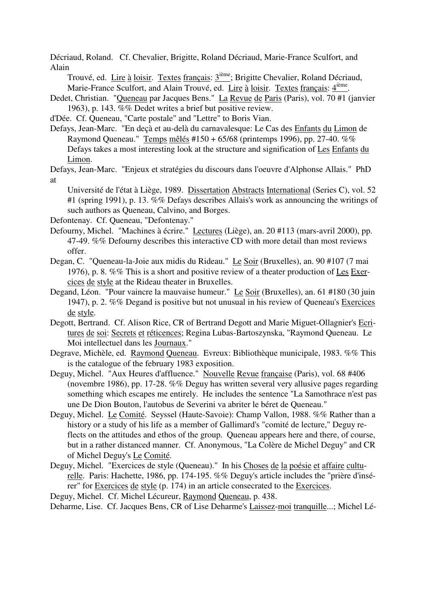Décriaud, Roland. Cf. Chevalier, Brigitte, Roland Décriaud, Marie-France Sculfort, and Alain

Trouvé, ed. Lire à loisir. Textes français: 3<sup>ième</sup>; Brigitte Chevalier, Roland Décriaud, Marie-France Sculfort, and Alain Trouvé, ed. Lire à loisir. Textes français: 4<sup>ième</sup>.

Dedet, Christian. "Queneau par Jacques Bens." La Revue de Paris (Paris), vol. 70 #1 (janvier 1963), p. 143. %% Dedet writes a brief but positive review.

d'Dée. Cf. Queneau, "Carte postale" and "Lettre" to Boris Vian.

Defays, Jean-Marc. "En deçà et au-delà du carnavalesque: Le Cas des Enfants du Limon de Raymond Queneau." Temps mêlés #150 + 65/68 (printemps 1996), pp. 27-40. %% Defays takes a most interesting look at the structure and signification of Les Enfants du Limon.

Defays, Jean-Marc. "Enjeux et stratégies du discours dans l'oeuvre d'Alphonse Allais." PhD at

Université de l'état à Liège, 1989. Dissertation Abstracts International (Series C), vol. 52 #1 (spring 1991), p. 13. %% Defays describes Allais's work as announcing the writings of such authors as Queneau, Calvino, and Borges.

Defontenay. Cf. Queneau, "Defontenay."

- Defourny, Michel. "Machines à écrire." Lectures (Liège), an. 20 #113 (mars-avril 2000), pp. 47-49. %% Defourny describes this interactive CD with more detail than most reviews offer.
- Degan, C. "Queneau-la-Joie aux midis du Rideau." Le Soir (Bruxelles), an. 90 #107 (7 mai 1976), p. 8. %% This is a short and positive review of a theater production of Les Exercices de style at the Rideau theater in Bruxelles.
- Degand, Léon. "Pour vaincre la mauvaise humeur." Le Soir (Bruxelles), an. 61 #180 (30 juin 1947), p. 2. %% Degand is positive but not unusual in his review of Queneau's Exercices de style.
- Degott, Bertrand. Cf. Alison Rice, CR of Bertrand Degott and Marie Miguet-Ollagnier's Ecritures de soi: Secrets et réticences; Regina Lubas-Bartoszynska, "Raymond Queneau. Le Moi intellectuel dans les Journaux."

Degrave, Michèle, ed. Raymond Queneau. Evreux: Bibliothèque municipale, 1983. %% This is the catalogue of the february 1983 exposition.

- Deguy, Michel. "Aux Heures d'affluence." Nouvelle Revue française (Paris), vol. 68 #406 (novembre 1986), pp. 17-28. %% Deguy has written several very allusive pages regarding something which escapes me entirely. He includes the sentence "La Samothrace n'est pas une De Dion Bouton, l'autobus de Severini va abriter le béret de Queneau."
- Deguy, Michel. Le Comité. Seyssel (Haute-Savoie): Champ Vallon, 1988. %% Rather than a history or a study of his life as a member of Gallimard's "comité de lecture," Deguy reflects on the attitudes and ethos of the group. Queneau appears here and there, of course, but in a rather distanced manner. Cf. Anonymous, "La Colère de Michel Deguy" and CR of Michel Deguy's Le Comité.
- Deguy, Michel. "Exercices de style (Queneau)." In his Choses de la poésie et affaire culturelle. Paris: Hachette, 1986, pp. 174-195. %% Deguy's article includes the "prière d'insérer" for Exercices de style (p. 174) in an article consecrated to the Exercices.

Deguy, Michel. Cf. Michel Lécureur, Raymond Queneau, p. 438.

Deharme, Lise. Cf. Jacques Bens, CR of Lise Deharme's Laissez-moi tranquille...; Michel Lé-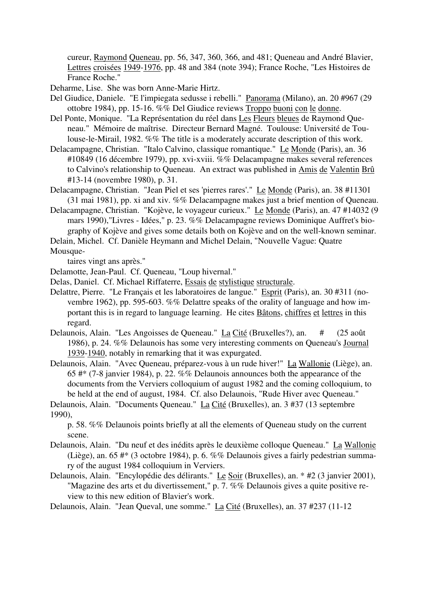cureur, Raymond Queneau, pp. 56, 347, 360, 366, and 481; Queneau and André Blavier, Lettres croisées 1949-1976, pp. 48 and 384 (note 394); France Roche, "Les Histoires de France Roche."

Deharme, Lise. She was born Anne-Marie Hirtz.

- Del Giudice, Daniele. "E l'impiegata sedusse i rebelli." Panorama (Milano), an. 20 #967 (29 ottobre 1984), pp. 15-16. %% Del Giudice reviews Troppo buoni con le donne.
- Del Ponte, Monique. "La Représentation du réel dans Les Fleurs bleues de Raymond Queneau." Mémoire de maîtrise. Directeur Bernard Magné. Toulouse: Université de Toulouse-le-Mirail, 1982. %% The title is a moderately accurate description of this work.
- Delacampagne, Christian. "Italo Calvino, classique romantique." Le Monde (Paris), an. 36 #10849 (16 décembre 1979), pp. xvi-xviii. %% Delacampagne makes several references to Calvino's relationship to Queneau. An extract was published in Amis de Valentin Brû #13-14 (novembre 1980), p. 31.
- Delacampagne, Christian. "Jean Piel et ses 'pierres rares'." Le Monde (Paris), an. 38 #11301 (31 mai 1981), pp. xi and xiv. %% Delacampagne makes just a brief mention of Queneau.
- Delacampagne, Christian. "Kojève, le voyageur curieux." Le Monde (Paris), an. 47 #14032 (9 mars 1990),"Livres - Idées," p. 23. %% Delacampagne reviews Dominique Auffret's biography of Kojève and gives some details both on Kojève and on the well-known seminar.

Delain, Michel. Cf. Danièle Heymann and Michel Delain, "Nouvelle Vague: Quatre

Mousque-

taires vingt ans après."

Delamotte, Jean-Paul. Cf. Queneau, "Loup hivernal."

- Delas, Daniel. Cf. Michael Riffaterre, Essais de stylistique structurale.
- Delattre, Pierre. "Le Français et les laboratoires de langue." Esprit (Paris), an. 30 #311 (novembre 1962), pp. 595-603. %% Delattre speaks of the orality of language and how important this is in regard to language learning. He cites Bâtons, chiffres et lettres in this regard.
- Delaunois, Alain. "Les Angoisses de Queneau." La Cité (Bruxelles?), an. # (25 août 1986), p. 24. %% Delaunois has some very interesting comments on Queneau's Journal 1939-1940, notably in remarking that it was expurgated.
- Delaunois, Alain. "Avec Queneau, préparez-vous à un rude hiver!" La Wallonie (Liège), an. 65 #\* (7-8 janvier 1984), p. 22. %% Delaunois announces both the appearance of the documents from the Verviers colloquium of august 1982 and the coming colloquium, to be held at the end of august, 1984. Cf. also Delaunois, "Rude Hiver avec Queneau."

Delaunois, Alain. "Documents Queneau." La Cité (Bruxelles), an. 3 #37 (13 septembre 1990),

p. 58. %% Delaunois points briefly at all the elements of Queneau study on the current scene.

- Delaunois, Alain. "Du neuf et des inédits après le deuxième colloque Queneau." La Wallonie (Liège), an. 65 #\* (3 octobre 1984), p. 6. %% Delaunois gives a fairly pedestrian summary of the august 1984 colloquium in Verviers.
- Delaunois, Alain. "Encylopédie des délirants." Le Soir (Bruxelles), an. \* #2 (3 janvier 2001), "Magazine des arts et du divertissement," p. 7. %% Delaunois gives a quite positive review to this new edition of Blavier's work.
- Delaunois, Alain. "Jean Queval, une somme." La Cité (Bruxelles), an. 37 #237 (11-12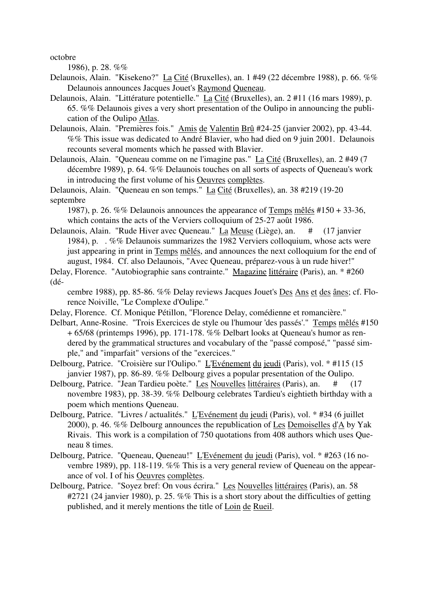octobre

1986), p. 28. %%

- Delaunois, Alain. "Kisekeno?" La Cité (Bruxelles), an. 1 #49 (22 décembre 1988), p. 66. %% Delaunois announces Jacques Jouet's Raymond Queneau.
- Delaunois, Alain. "Littérature potentielle." La Cité (Bruxelles), an. 2 #11 (16 mars 1989), p. 65. %% Delaunois gives a very short presentation of the Oulipo in announcing the publication of the Oulipo Atlas.
- Delaunois, Alain. "Premières fois." Amis de Valentin Brû #24-25 (janvier 2002), pp. 43-44. %% This issue was dedicated to André Blavier, who had died on 9 juin 2001. Delaunois recounts several moments which he passed with Blavier.
- Delaunois, Alain. "Queneau comme on ne l'imagine pas." La Cité (Bruxelles), an. 2 #49 (7 décembre 1989), p. 64. %% Delaunois touches on all sorts of aspects of Queneau's work in introducing the first volume of his Oeuvres complètes.

Delaunois, Alain. "Queneau en son temps." La Cité (Bruxelles), an. 38 #219 (19-20 septembre

1987), p. 26. %% Delaunois announces the appearance of Temps mêlés #150 + 33-36, which contains the acts of the Verviers colloquium of 25-27 août 1986.

- Delaunois, Alain. "Rude Hiver avec Queneau." La Meuse (Liège), an. # (17 janvier 1984), p. . %% Delaunois summarizes the 1982 Verviers colloquium, whose acts were just appearing in print in Temps mêlés, and announces the next colloquium for the end of august, 1984. Cf. also Delaunois, "Avec Queneau, préparez-vous à un rude hiver!"
- Delay, Florence. "Autobiographie sans contrainte." Magazine littéraire (Paris), an. \* #260 (dé-

cembre 1988), pp. 85-86. %% Delay reviews Jacques Jouet's Des Ans et des ânes; cf. Florence Noiville, "Le Complexe d'Oulipe."

- Delay, Florence. Cf. Monique Pétillon, "Florence Delay, comédienne et romancière."
- Delbart, Anne-Rosine. "Trois Exercices de style ou l'humour 'des passés'." Temps mêlés #150 + 65/68 (printemps 1996), pp. 171-178. %% Delbart looks at Queneau's humor as rendered by the grammatical structures and vocabulary of the "passé composé," "passé simple," and "imparfait" versions of the "exercices."

Delbourg, Patrice. "Croisière sur l'Oulipo." L'Evénement du jeudi (Paris), vol. \* #115 (15 janvier 1987), pp. 86-89. %% Delbourg gives a popular presentation of the Oulipo.

- Delbourg, Patrice. "Jean Tardieu poète." Les Nouvelles littéraires (Paris), an. # (17 novembre 1983), pp. 38-39. %% Delbourg celebrates Tardieu's eightieth birthday with a poem which mentions Queneau.
- Delbourg, Patrice. "Livres / actualités." L'Evénement du jeudi (Paris), vol. \* #34 (6 juillet 2000), p. 46. %% Delbourg announces the republication of Les Demoiselles d'A by Yak Rivais. This work is a compilation of 750 quotations from 408 authors which uses Queneau 8 times.
- Delbourg, Patrice. "Queneau, Queneau!" L'Evénement du jeudi (Paris), vol. \* #263 (16 novembre 1989), pp. 118-119. %% This is a very general review of Queneau on the appearance of vol. I of his Oeuvres complètes.
- Delbourg, Patrice. "Soyez bref: On vous écrira." Les Nouvelles littéraires (Paris), an. 58 #2721 (24 janvier 1980), p. 25. %% This is a short story about the difficulties of getting published, and it merely mentions the title of Loin de Rueil.